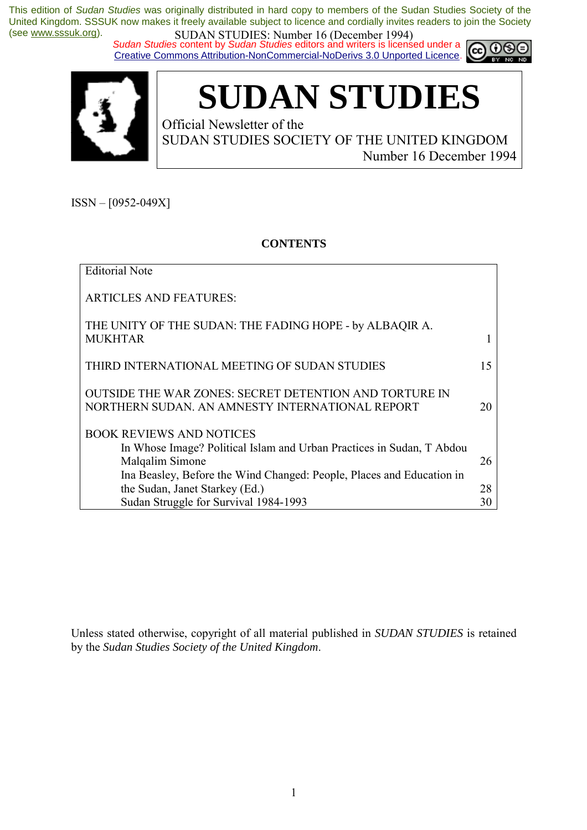*Sudan Studies* content by *Sudan Studies* editors and writers is licensed under a Creative Commons Attribution-NonCommercial-NoDerivs 3.0 Unported Licence.





# **SUDAN STUDIES**

Official Newsletter of the SUDAN STUDIES SOCIETY OF THE UNITED KINGDOM Number 16 December 1994

 $ISSN - [0952-049X]$ 

### **CONTENTS**

| <b>Editorial Note</b>                                                                                                       |    |
|-----------------------------------------------------------------------------------------------------------------------------|----|
| <b>ARTICLES AND FEATURES:</b>                                                                                               |    |
| THE UNITY OF THE SUDAN: THE FADING HOPE - by ALBAQIR A.<br><b>MUKHTAR</b>                                                   | 1  |
| THIRD INTERNATIONAL MEETING OF SUDAN STUDIES                                                                                | 15 |
| <b>OUTSIDE THE WAR ZONES: SECRET DETENTION AND TORTURE IN</b><br>NORTHERN SUDAN. AN AMNESTY INTERNATIONAL REPORT            | 20 |
| <b>BOOK REVIEWS AND NOTICES</b><br>In Whose Image? Political Islam and Urban Practices in Sudan, T Abdou<br>Malqalim Simone | 26 |
| Ina Beasley, Before the Wind Changed: People, Places and Education in<br>the Sudan, Janet Starkey (Ed.)                     | 28 |
| Sudan Struggle for Survival 1984-1993                                                                                       | 30 |

Unless stated otherwise, copyright of all material published in *SUDAN STUDIES* is retained by the *Sudan Studies Society of the United Kingdom*.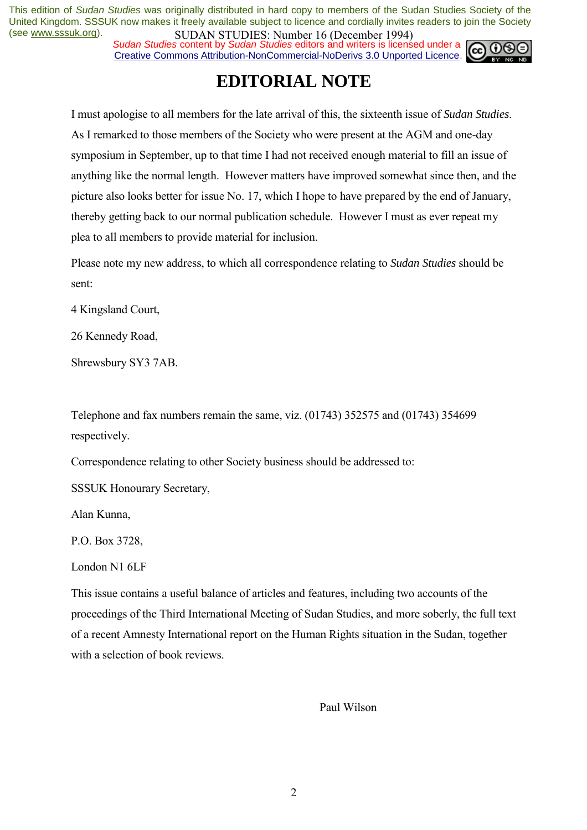*Sudan Studies* content by *Sudan Studies* editors and writers is licensed under a Creative Commons Attribution-NonCommercial-NoDerivs 3.0 Unported Licence.



### **EDITORIAL NOTE**

I must apologise to all members for the late arrival of this, the sixteenth issue of *Sudan Studies*. As I remarked to those members of the Society who were present at the AGM and one-day symposium in September, up to that time I had not received enough material to fill an issue of anything like the normal length. However matters have improved somewhat since then, and the picture also looks better for issue No. 17, which I hope to have prepared by the end of January, thereby getting back to our normal publication schedule. However I must as ever repeat my plea to all members to provide material for inclusion.

Please note my new address, to which all correspondence relating to *Sudan Studies* should be sent:

4 Kingsland Court,

26 Kennedy Road,

Shrewsbury SY3 7AB.

Telephone and fax numbers remain the same, viz. (01743) 352575 and (01743) 354699 respectively.

Correspondence relating to other Society business should be addressed to:

SSSUK Honourary Secretary,

Alan Kunna,

P.O. Box 3728,

London N1 6LF

This issue contains a useful balance of articles and features, including two accounts of the proceedings of the Third International Meeting of Sudan Studies, and more soberly, the full text of a recent Amnesty International report on the Human Rights situation in the Sudan, together with a selection of book reviews.

Paul Wilson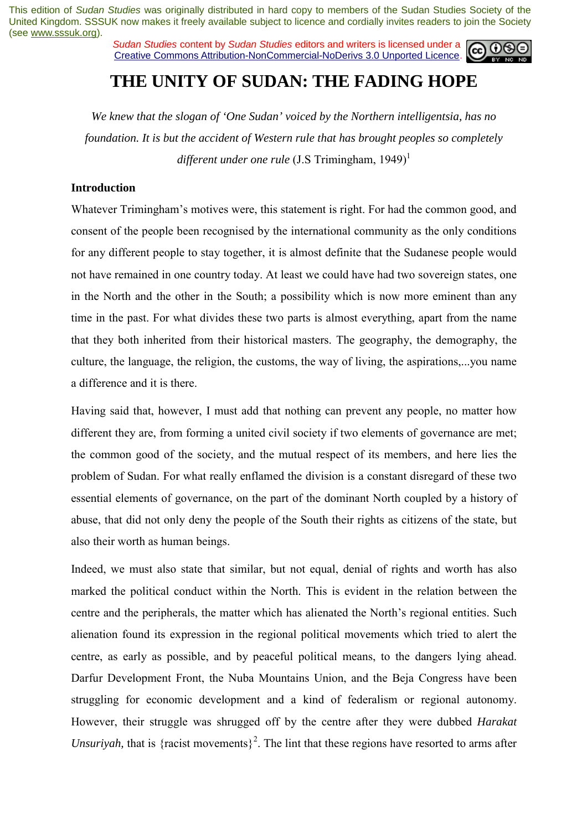*Sudan Studies* content by *Sudan Studies* editors and writers is licensed under a Creative Commons Attribution-NonCommercial-NoDerivs 3.0 Unported Licence.



### **THE UNITY OF SUDAN: THE FADING HOPE**

*We knew that the slogan of 'One Sudan' voiced by the Northern intelligentsia, has no foundation. It is but the accident of Western rule that has brought peoples so completely different under one rule* (J.S Trimingham, 1949)<sup>1</sup>

#### **Introduction**

Whatever Trimingham's motives were, this statement is right. For had the common good, and consent of the people been recognised by the international community as the only conditions for any different people to stay together, it is almost definite that the Sudanese people would not have remained in one country today. At least we could have had two sovereign states, one in the North and the other in the South; a possibility which is now more eminent than any time in the past. For what divides these two parts is almost everything, apart from the name that they both inherited from their historical masters. The geography, the demography, the culture, the language, the religion, the customs, the way of living, the aspirations,...you name a difference and it is there.

Having said that, however, I must add that nothing can prevent any people, no matter how different they are, from forming a united civil society if two elements of governance are met; the common good of the society, and the mutual respect of its members, and here lies the problem of Sudan. For what really enflamed the division is a constant disregard of these two essential elements of governance, on the part of the dominant North coupled by a history of abuse, that did not only deny the people of the South their rights as citizens of the state, but also their worth as human beings.

Indeed, we must also state that similar, but not equal, denial of rights and worth has also marked the political conduct within the North. This is evident in the relation between the centre and the peripherals, the matter which has alienated the North's regional entities. Such alienation found its expression in the regional political movements which tried to alert the centre, as early as possible, and by peaceful political means, to the dangers lying ahead. Darfur Development Front, the Nuba Mountains Union, and the Beja Congress have been struggling for economic development and a kind of federalism or regional autonomy. However, their struggle was shrugged off by the centre after they were dubbed *Harakat Unsuriyah*, that is {racist movements}<sup>2</sup>. The lint that these regions have resorted to arms after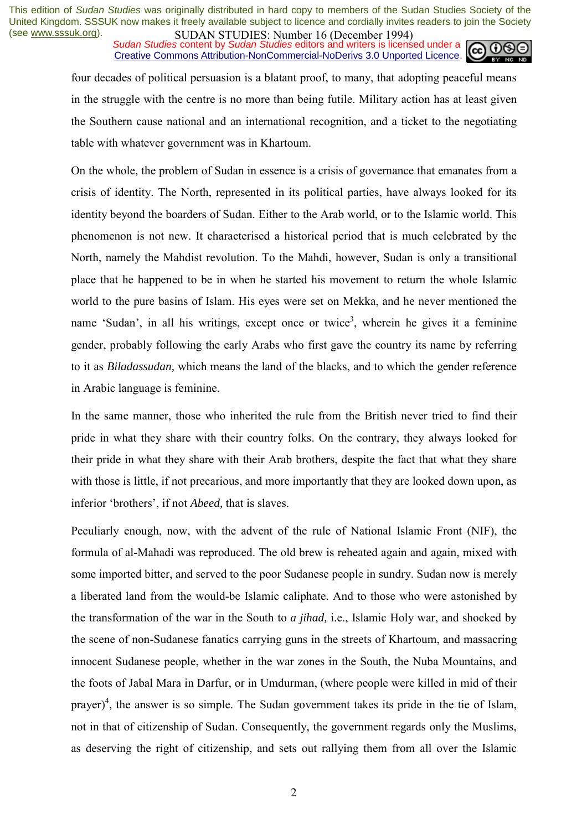**SUDAN STUDIES** NUTTUBED IN *DECEMBENT* SUDAN STUDIES in **Sudan Studies** editors and writers is licensed under a Creative Commons Attribution-NonCommercial-NoDerivs 3.0 Unported Licence.



four decades of political persuasion is a blatant proof, to many, that adopting peaceful means in the struggle with the centre is no more than being futile. Military action has at least given the Southern cause national and an international recognition, and a ticket to the negotiating table with whatever government was in Khartoum.

On the whole, the problem of Sudan in essence is a crisis of governance that emanates from a crisis of identity. The North, represented in its political parties, have always looked for its identity beyond the boarders of Sudan. Either to the Arab world, or to the Islamic world. This phenomenon is not new. It characterised a historical period that is much celebrated by the North, namely the Mahdist revolution. To the Mahdi, however, Sudan is only a transitional place that he happened to be in when he started his movement to return the whole Islamic world to the pure basins of Islam. His eyes were set on Mekka, and he never mentioned the name 'Sudan', in all his writings, except once or twice<sup>3</sup>, wherein he gives it a feminine gender, probably following the early Arabs who first gave the country its name by referring to it as *Biladassudan,* which means the land of the blacks, and to which the gender reference in Arabic language is feminine.

In the same manner, those who inherited the rule from the British never tried to find their pride in what they share with their country folks. On the contrary, they always looked for their pride in what they share with their Arab brothers, despite the fact that what they share with those is little, if not precarious, and more importantly that they are looked down upon, as inferior 'brothers', if not *Abeed*, that is slaves.

Peculiarly enough, now, with the advent of the rule of National Islamic Front (NIF), the formula of al-Mahadi was reproduced. The old brew is reheated again and again, mixed with some imported bitter, and served to the poor Sudanese people in sundry. Sudan now is merely a liberated land from the would-be Islamic caliphate. And to those who were astonished by the transformation of the war in the South to *a jihad,* i.e., Islamic Holy war, and shocked by the scene of non-Sudanese fanatics carrying guns in the streets of Khartoum, and massacring innocent Sudanese people, whether in the war zones in the South, the Nuba Mountains, and the foots of Jabal Mara in Darfur, or in Umdurman, (where people were killed in mid of their prayer)<sup>4</sup>, the answer is so simple. The Sudan government takes its pride in the tie of Islam, not in that of citizenship of Sudan. Consequently, the government regards only the Muslims, as deserving the right of citizenship, and sets out rallying them from all over the Islamic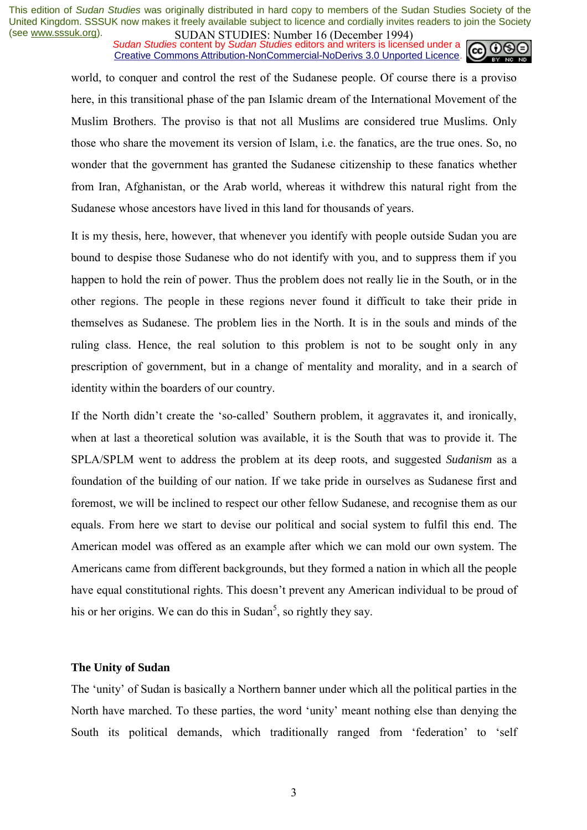**SUDAN STUDIES:** Number to (December 1774)<br>Sudan Studies content by Sudan Studies editors and writers is licensed under a Creative Commons Attribution-NonCommercial-NoDerivs 3.0 Unported Licence.



world, to conquer and control the rest of the Sudanese people. Of course there is a proviso here, in this transitional phase of the pan Islamic dream of the International Movement of the Muslim Brothers. The proviso is that not all Muslims are considered true Muslims. Only those who share the movement its version of Islam, i.e. the fanatics, are the true ones. So, no wonder that the government has granted the Sudanese citizenship to these fanatics whether from Iran, Afghanistan, or the Arab world, whereas it withdrew this natural right from the Sudanese whose ancestors have lived in this land for thousands of years.

It is my thesis, here, however, that whenever you identify with people outside Sudan you are bound to despise those Sudanese who do not identify with you, and to suppress them if you happen to hold the rein of power. Thus the problem does not really lie in the South, or in the other regions. The people in these regions never found it difficult to take their pride in themselves as Sudanese. The problem lies in the North. It is in the souls and minds of the ruling class. Hence, the real solution to this problem is not to be sought only in any prescription of government, but in a change of mentality and morality, and in a search of identity within the boarders of our country.

If the North didn't create the 'so-called' Southern problem, it aggravates it, and ironically, when at last a theoretical solution was available, it is the South that was to provide it. The SPLA/SPLM went to address the problem at its deep roots, and suggested *Sudanism* as a foundation of the building of our nation. If we take pride in ourselves as Sudanese first and foremost, we will be inclined to respect our other fellow Sudanese, and recognise them as our equals. From here we start to devise our political and social system to fulfil this end. The American model was offered as an example after which we can mold our own system. The Americans came from different backgrounds, but they formed a nation in which all the people have equal constitutional rights. This doesn't prevent any American individual to be proud of his or her origins. We can do this in Sudan<sup>5</sup>, so rightly they say.

#### **The Unity of Sudan**

The 'unity' of Sudan is basically a Northern banner under which all the political parties in the North have marched. To these parties, the word 'unity' meant nothing else than denying the South its political demands, which traditionally ranged from 'federation' to 'self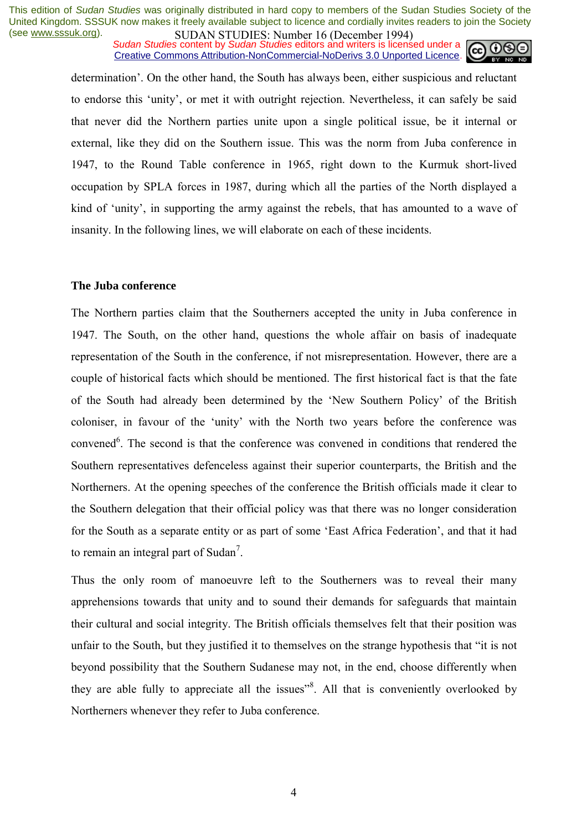**SUDAN STUDIES**. Nutfilling to (December 1777)<br>Sudan Studies content by Sudan Studies editors and writers is licensed under a **CC** O Creative Commons Attribution-NonCommercial-NoDerivs 3.0 Unported Licence.



determination<sup>7</sup>. On the other hand, the South has always been, either suspicious and reluctant to endorse this 'unity', or met it with outright rejection. Nevertheless, it can safely be said that never did the Northern parties unite upon a single political issue, be it internal or external, like they did on the Southern issue. This was the norm from Juba conference in 1947, to the Round Table conference in 1965, right down to the Kurmuk short-lived occupation by SPLA forces in 1987, during which all the parties of the North displayed a kind of 'unity', in supporting the army against the rebels, that has amounted to a wave of insanity. In the following lines, we will elaborate on each of these incidents.

#### **The Juba conference**

The Northern parties claim that the Southerners accepted the unity in Juba conference in 1947. The South, on the other hand, questions the whole affair on basis of inadequate representation of the South in the conference, if not misrepresentation. However, there are a couple of historical facts which should be mentioned. The first historical fact is that the fate of the South had already been determined by the 'New Southern Policy' of the British coloniser, in favour of the 'unity' with the North two years before the conference was convened<sup>6</sup>. The second is that the conference was convened in conditions that rendered the Southern representatives defenceless against their superior counterparts, the British and the Northerners. At the opening speeches of the conference the British officials made it clear to the Southern delegation that their official policy was that there was no longer consideration for the South as a separate entity or as part of some 'East Africa Federation', and that it had to remain an integral part of Sudan<sup>7</sup>.

Thus the only room of manoeuvre left to the Southerners was to reveal their many apprehensions towards that unity and to sound their demands for safeguards that maintain their cultural and social integrity. The British officials themselves felt that their position was unfair to the South, but they justified it to themselves on the strange hypothesis that "it is not beyond possibility that the Southern Sudanese may not, in the end, choose differently when they are able fully to appreciate all the issues<sup>38</sup>. All that is conveniently overlooked by Northerners whenever they refer to Juba conference.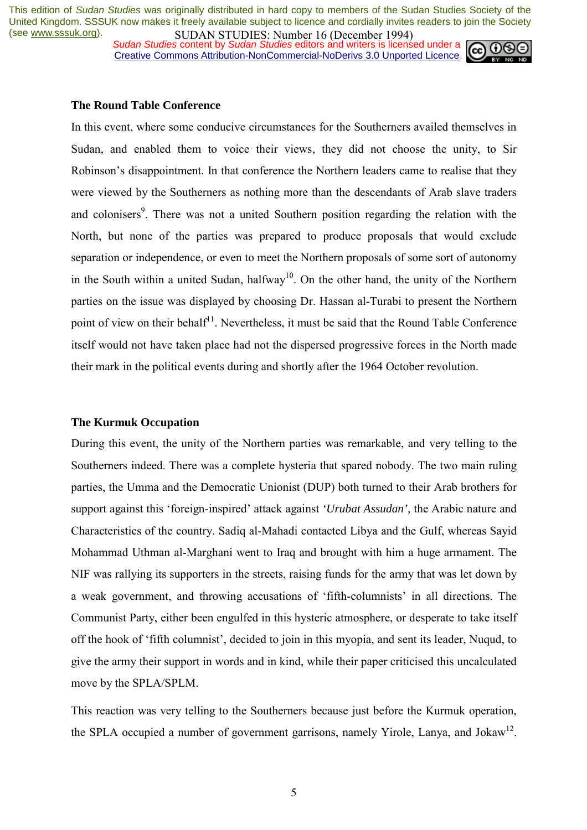*Sudan Studies* content by *Sudan Studies* editors and writers is licensed under a Creative Commons Attribution-NonCommercial-NoDerivs 3.0 Unported Licence.



#### **The Round Table Conference**

In this event, where some conducive circumstances for the Southerners availed themselves in Sudan, and enabled them to voice their views, they did not choose the unity, to Sir Robinson's disappointment. In that conference the Northern leaders came to realise that they were viewed by the Southerners as nothing more than the descendants of Arab slave traders and colonisers<sup>9</sup>. There was not a united Southern position regarding the relation with the North, but none of the parties was prepared to produce proposals that would exclude separation or independence, or even to meet the Northern proposals of some sort of autonomy in the South within a united Sudan, halfway<sup>10</sup>. On the other hand, the unity of the Northern parties on the issue was displayed by choosing Dr. Hassan al-Turabi to present the Northern point of view on their behalf<sup>11</sup>. Nevertheless, it must be said that the Round Table Conference itself would not have taken place had not the dispersed progressive forces in the North made their mark in the political events during and shortly after the 1964 October revolution.

#### **The Kurmuk Occupation**

During this event, the unity of the Northern parties was remarkable, and very telling to the Southerners indeed. There was a complete hysteria that spared nobody. The two main ruling parties, the Umma and the Democratic Unionist (DUP) both turned to their Arab brothers for support against this 'foreign-inspired' attack against 'Urubat Assudan', the Arabic nature and Characteristics of the country. Sadiq al-Mahadi contacted Libya and the Gulf, whereas Sayid Mohammad Uthman al-Marghani went to Iraq and brought with him a huge armament. The NIF was rallying its supporters in the streets, raising funds for the army that was let down by a weak government, and throwing accusations of 'fifth-columnists' in all directions. The Communist Party, either been engulfed in this hysteric atmosphere, or desperate to take itself off the hook of 'fifth columnist', decided to join in this myopia, and sent its leader, Nuqud, to give the army their support in words and in kind, while their paper criticised this uncalculated move by the SPLA/SPLM.

This reaction was very telling to the Southerners because just before the Kurmuk operation, the SPLA occupied a number of government garrisons, namely Yirole, Lanya, and Jokaw<sup>12</sup>.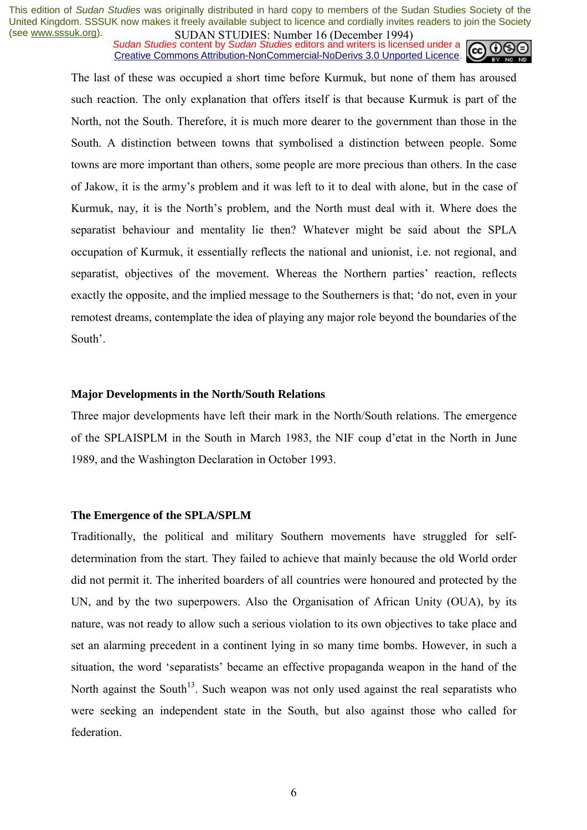*Sudan Studies* content by *Sudan Studies* editors and writers is licensed under a Creative Commons Attribution-NonCommercial-NoDerivs 3.0 Unported Licence.



The last of these was occupied a short time before Kurmuk, but none of them has aroused such reaction. The only explanation that offers itself is that because Kurmuk is part of the North, not the South. Therefore, it is much more dearer to the government than those in the South. A distinction between towns that symbolised a distinction between people. Some towns are more important than others, some people are more precious than others. In the case of Jakow, it is the armyís problem and it was left to it to deal with alone, but in the case of Kurmuk, nay, it is the North's problem, and the North must deal with it. Where does the separatist behaviour and mentality lie then? Whatever might be said about the SPLA occupation of Kurmuk, it essentially reflects the national and unionist, i.e. not regional, and separatist, objectives of the movement. Whereas the Northern parties' reaction, reflects exactly the opposite, and the implied message to the Southerners is that; ëdo not, even in your remotest dreams, contemplate the idea of playing any major role beyond the boundaries of the South'.

#### **Major Developments in the North/South Relations**

Three major developments have left their mark in the North/South relations. The emergence of the SPLAISPLM in the South in March 1983, the NIF coup d'etat in the North in June 1989, and the Washington Declaration in October 1993.

#### **The Emergence of the SPLA/SPLM**

Traditionally, the political and military Southern movements have struggled for selfdetermination from the start. They failed to achieve that mainly because the old World order did not permit it. The inherited boarders of all countries were honoured and protected by the UN, and by the two superpowers. Also the Organisation of African Unity (OUA), by its nature, was not ready to allow such a serious violation to its own objectives to take place and set an alarming precedent in a continent lying in so many time bombs. However, in such a situation, the word 'separatists' became an effective propaganda weapon in the hand of the North against the South<sup>13</sup>. Such weapon was not only used against the real separatists who were seeking an independent state in the South, but also against those who called for federation.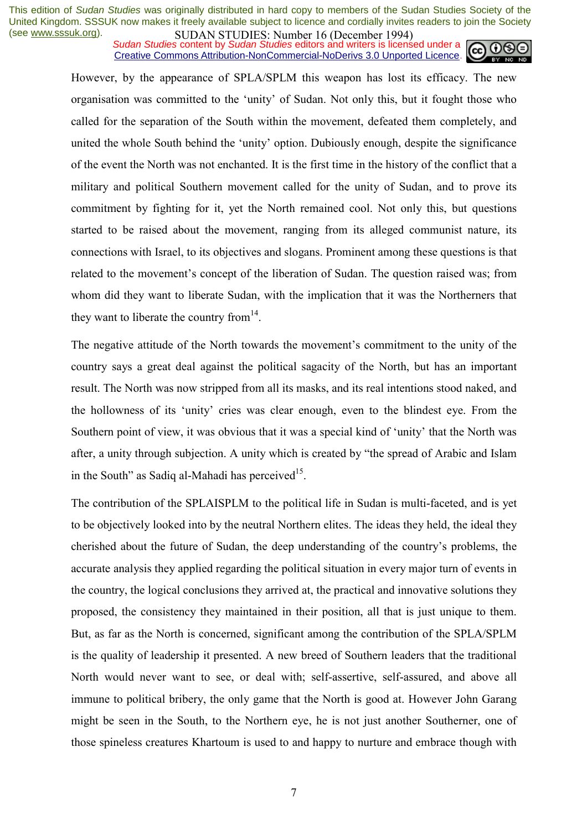**SUDAN STUDIES:** Number to (December 1774)<br>Sudan Studies content by Sudan Studies editors and writers is licensed under a Creative Commons Attribution-NonCommercial-NoDerivs 3.0 Unported Licence.



However, by the appearance of SPLA/SPLM this weapon has lost its efficacy. The new organisation was committed to the 'unity' of Sudan. Not only this, but it fought those who called for the separation of the South within the movement, defeated them completely, and united the whole South behind the 'unity' option. Dubiously enough, despite the significance of the event the North was not enchanted. It is the first time in the history of the conflict that a military and political Southern movement called for the unity of Sudan, and to prove its commitment by fighting for it, yet the North remained cool. Not only this, but questions started to be raised about the movement, ranging from its alleged communist nature, its connections with Israel, to its objectives and slogans. Prominent among these questions is that related to the movement's concept of the liberation of Sudan. The question raised was; from whom did they want to liberate Sudan, with the implication that it was the Northerners that they want to liberate the country from  $14$ .

The negative attitude of the North towards the movement's commitment to the unity of the country says a great deal against the political sagacity of the North, but has an important result. The North was now stripped from all its masks, and its real intentions stood naked, and the hollowness of its 'unity' cries was clear enough, even to the blindest eye. From the Southern point of view, it was obvious that it was a special kind of 'unity' that the North was after, a unity through subjection. A unity which is created by "the spread of Arabic and Islam in the South" as Sadiq al-Mahadi has perceived<sup>15</sup>.

The contribution of the SPLAISPLM to the political life in Sudan is multi-faceted, and is yet to be objectively looked into by the neutral Northern elites. The ideas they held, the ideal they cherished about the future of Sudan, the deep understanding of the country's problems, the accurate analysis they applied regarding the political situation in every major turn of events in the country, the logical conclusions they arrived at, the practical and innovative solutions they proposed, the consistency they maintained in their position, all that is just unique to them. But, as far as the North is concerned, significant among the contribution of the SPLA/SPLM is the quality of leadership it presented. A new breed of Southern leaders that the traditional North would never want to see, or deal with; self-assertive, self-assured, and above all immune to political bribery, the only game that the North is good at. However John Garang might be seen in the South, to the Northern eye, he is not just another Southerner, one of those spineless creatures Khartoum is used to and happy to nurture and embrace though with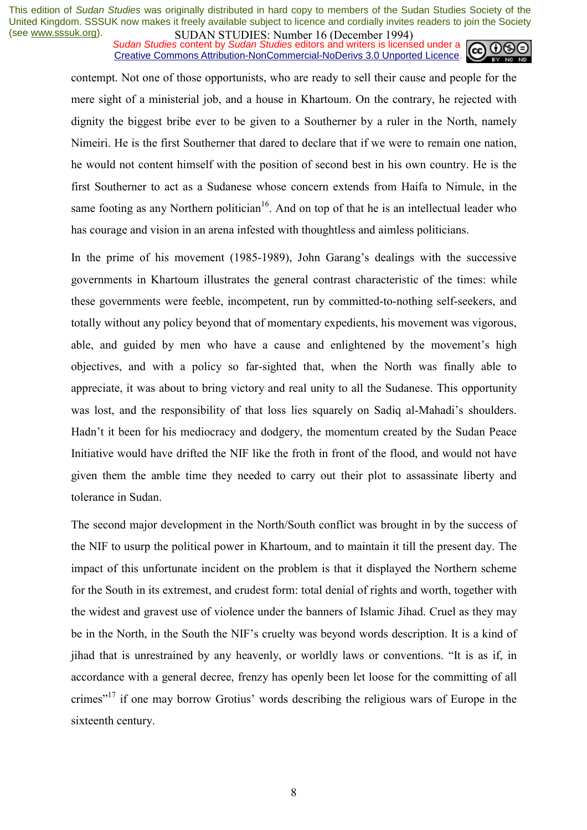*Sudan Studies* content by *Sudan Studies* editors and writers is licensed under a Creative Commons Attribution-NonCommercial-NoDerivs 3.0 Unported Licence.



contempt. Not one of those opportunists, who are ready to sell their cause and people for the mere sight of a ministerial job, and a house in Khartoum. On the contrary, he rejected with dignity the biggest bribe ever to be given to a Southerner by a ruler in the North, namely Nimeiri. He is the first Southerner that dared to declare that if we were to remain one nation, he would not content himself with the position of second best in his own country. He is the first Southerner to act as a Sudanese whose concern extends from Haifa to Nimule, in the same footing as any Northern politician<sup>16</sup>. And on top of that he is an intellectual leader who has courage and vision in an arena infested with thoughtless and aimless politicians.

In the prime of his movement (1985-1989), John Garang's dealings with the successive governments in Khartoum illustrates the general contrast characteristic of the times: while these governments were feeble, incompetent, run by committed-to-nothing self-seekers, and totally without any policy beyond that of momentary expedients, his movement was vigorous, able, and guided by men who have a cause and enlightened by the movement's high objectives, and with a policy so far-sighted that, when the North was finally able to appreciate, it was about to bring victory and real unity to all the Sudanese. This opportunity was lost, and the responsibility of that loss lies squarely on Sadiq al-Mahadi's shoulders. Hadn't it been for his mediocracy and dodgery, the momentum created by the Sudan Peace Initiative would have drifted the NIF like the froth in front of the flood, and would not have given them the amble time they needed to carry out their plot to assassinate liberty and tolerance in Sudan.

The second major development in the North/South conflict was brought in by the success of the NIF to usurp the political power in Khartoum, and to maintain it till the present day. The impact of this unfortunate incident on the problem is that it displayed the Northern scheme for the South in its extremest, and crudest form: total denial of rights and worth, together with the widest and gravest use of violence under the banners of Islamic Jihad. Cruel as they may be in the North, in the South the NIF's cruelty was beyond words description. It is a kind of jihad that is unrestrained by any heavenly, or worldly laws or conventions. "It is as if, in accordance with a general decree, frenzy has openly been let loose for the committing of all crimes<sup> $17$ </sup> if one may borrow Grotius' words describing the religious wars of Europe in the sixteenth century.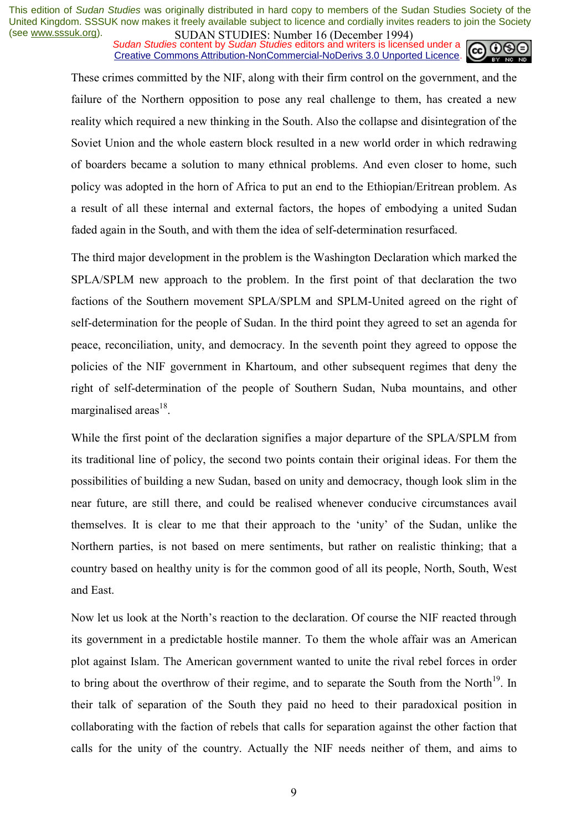*Sudan Studies* content by *Sudan Studies* editors and writers is licensed under a Creative Commons Attribution-NonCommercial-NoDerivs 3.0 Unported Licence.



These crimes committed by the NIF, along with their firm control on the government, and the failure of the Northern opposition to pose any real challenge to them, has created a new reality which required a new thinking in the South. Also the collapse and disintegration of the Soviet Union and the whole eastern block resulted in a new world order in which redrawing of boarders became a solution to many ethnical problems. And even closer to home, such policy was adopted in the horn of Africa to put an end to the Ethiopian/Eritrean problem. As a result of all these internal and external factors, the hopes of embodying a united Sudan faded again in the South, and with them the idea of self-determination resurfaced.

The third major development in the problem is the Washington Declaration which marked the SPLA/SPLM new approach to the problem. In the first point of that declaration the two factions of the Southern movement SPLA/SPLM and SPLM-United agreed on the right of self-determination for the people of Sudan. In the third point they agreed to set an agenda for peace, reconciliation, unity, and democracy. In the seventh point they agreed to oppose the policies of the NIF government in Khartoum, and other subsequent regimes that deny the right of self-determination of the people of Southern Sudan, Nuba mountains, and other marginalised areas $18$ .

While the first point of the declaration signifies a major departure of the SPLA/SPLM from its traditional line of policy, the second two points contain their original ideas. For them the possibilities of building a new Sudan, based on unity and democracy, though look slim in the near future, are still there, and could be realised whenever conducive circumstances avail themselves. It is clear to me that their approach to the 'unity' of the Sudan, unlike the Northern parties, is not based on mere sentiments, but rather on realistic thinking; that a country based on healthy unity is for the common good of all its people, North, South, West and East.

Now let us look at the North's reaction to the declaration. Of course the NIF reacted through its government in a predictable hostile manner. To them the whole affair was an American plot against Islam. The American government wanted to unite the rival rebel forces in order to bring about the overthrow of their regime, and to separate the South from the North $^{19}$ . In their talk of separation of the South they paid no heed to their paradoxical position in collaborating with the faction of rebels that calls for separation against the other faction that calls for the unity of the country. Actually the NIF needs neither of them, and aims to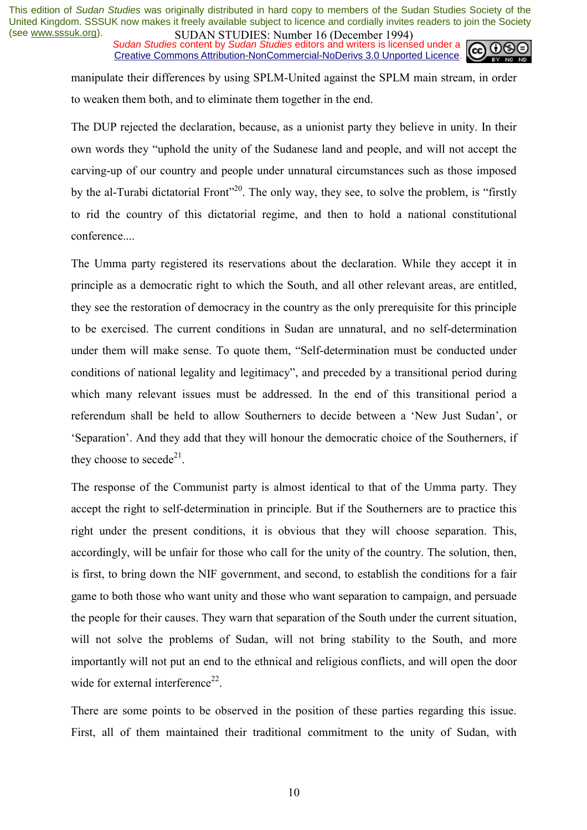*Sudan Studies* content by *Sudan Studies* editors and writers is licensed under a Creative Commons Attribution-NonCommercial-NoDerivs 3.0 Unported Licence.



manipulate their differences by using SPLM-United against the SPLM main stream, in order to weaken them both, and to eliminate them together in the end.

The DUP rejected the declaration, because, as a unionist party they believe in unity. In their own words they "uphold the unity of the Sudanese land and people, and will not accept the carving-up of our country and people under unnatural circumstances such as those imposed by the al-Turabi dictatorial Front<sup>320</sup>. The only way, they see, to solve the problem, is "firstly to rid the country of this dictatorial regime, and then to hold a national constitutional conference....

The Umma party registered its reservations about the declaration. While they accept it in principle as a democratic right to which the South, and all other relevant areas, are entitled, they see the restoration of democracy in the country as the only prerequisite for this principle to be exercised. The current conditions in Sudan are unnatural, and no self-determination under them will make sense. To quote them, "Self-determination must be conducted under conditions of national legality and legitimacy", and preceded by a transitional period during which many relevant issues must be addressed. In the end of this transitional period a referendum shall be held to allow Southerners to decide between a 'New Just Sudan', or 'Separation'. And they add that they will honour the democratic choice of the Southerners, if they choose to secede<sup>21</sup>.

The response of the Communist party is almost identical to that of the Umma party. They accept the right to self-determination in principle. But if the Southerners are to practice this right under the present conditions, it is obvious that they will choose separation. This, accordingly, will be unfair for those who call for the unity of the country. The solution, then, is first, to bring down the NIF government, and second, to establish the conditions for a fair game to both those who want unity and those who want separation to campaign, and persuade the people for their causes. They warn that separation of the South under the current situation, will not solve the problems of Sudan, will not bring stability to the South, and more importantly will not put an end to the ethnical and religious conflicts, and will open the door wide for external interference $^{22}$ .

There are some points to be observed in the position of these parties regarding this issue. First, all of them maintained their traditional commitment to the unity of Sudan, with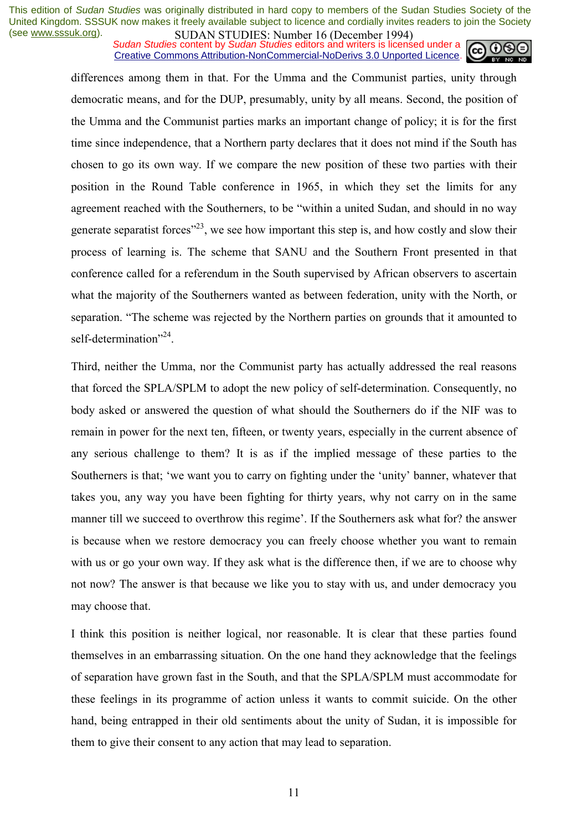*Sudan Studies* content by *Sudan Studies* editors and writers is licensed under a Creative Commons Attribution-NonCommercial-NoDerivs 3.0 Unported Licence.



differences among them in that. For the Umma and the Communist parties, unity through democratic means, and for the DUP, presumably, unity by all means. Second, the position of the Umma and the Communist parties marks an important change of policy; it is for the first time since independence, that a Northern party declares that it does not mind if the South has chosen to go its own way. If we compare the new position of these two parties with their position in the Round Table conference in 1965, in which they set the limits for any agreement reached with the Southerners, to be "within a united Sudan, and should in no way generate separatist forces<sup> $23$ </sup>, we see how important this step is, and how costly and slow their process of learning is. The scheme that SANU and the Southern Front presented in that conference called for a referendum in the South supervised by African observers to ascertain what the majority of the Southerners wanted as between federation, unity with the North, or separation. "The scheme was rejected by the Northern parties on grounds that it amounted to self-determination<sup>"24</sup>.

Third, neither the Umma, nor the Communist party has actually addressed the real reasons that forced the SPLA/SPLM to adopt the new policy of self-determination. Consequently, no body asked or answered the question of what should the Southerners do if the NIF was to remain in power for the next ten, fifteen, or twenty years, especially in the current absence of any serious challenge to them? It is as if the implied message of these parties to the Southerners is that; 'we want you to carry on fighting under the 'unity' banner, whatever that takes you, any way you have been fighting for thirty years, why not carry on in the same manner till we succeed to overthrow this regime'. If the Southerners ask what for? the answer is because when we restore democracy you can freely choose whether you want to remain with us or go your own way. If they ask what is the difference then, if we are to choose why not now? The answer is that because we like you to stay with us, and under democracy you may choose that.

I think this position is neither logical, nor reasonable. It is clear that these parties found themselves in an embarrassing situation. On the one hand they acknowledge that the feelings of separation have grown fast in the South, and that the SPLA/SPLM must accommodate for these feelings in its programme of action unless it wants to commit suicide. On the other hand, being entrapped in their old sentiments about the unity of Sudan, it is impossible for them to give their consent to any action that may lead to separation.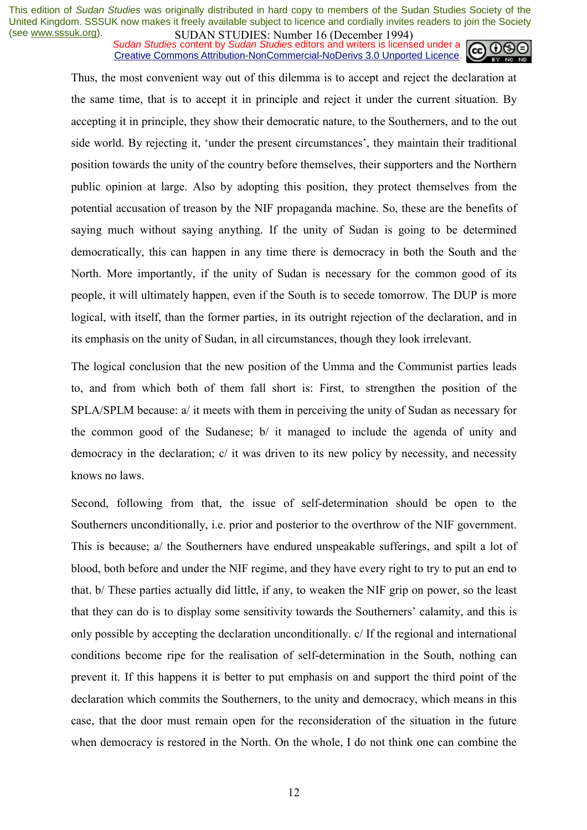**SUDAN STUDIES** NUTTUBED IN *DECEMBENT* SUDAN STUDIES in **Sudan Studies** editors and writers is licensed under a Creative Commons Attribution-NonCommercial-NoDerivs 3.0 Unported Licence.



Thus, the most convenient way out of this dilemma is to accept and reject the declaration at the same time, that is to accept it in principle and reject it under the current situation. By accepting it in principle, they show their democratic nature, to the Southerners, and to the out side world. By rejecting it, 'under the present circumstances', they maintain their traditional position towards the unity of the country before themselves, their supporters and the Northern public opinion at large. Also by adopting this position, they protect themselves from the potential accusation of treason by the NIF propaganda machine. So, these are the benefits of saying much without saying anything. If the unity of Sudan is going to be determined democratically, this can happen in any time there is democracy in both the South and the North. More importantly, if the unity of Sudan is necessary for the common good of its people, it will ultimately happen, even if the South is to secede tomorrow. The DUP is more logical, with itself, than the former parties, in its outright rejection of the declaration, and in its emphasis on the unity of Sudan, in all circumstances, though they look irrelevant.

The logical conclusion that the new position of the Umma and the Communist parties leads to, and from which both of them fall short is: First, to strengthen the position of the SPLA/SPLM because: a/ it meets with them in perceiving the unity of Sudan as necessary for the common good of the Sudanese; b/ it managed to include the agenda of unity and democracy in the declaration; c/ it was driven to its new policy by necessity, and necessity knows no laws.

Second, following from that, the issue of self-determination should be open to the Southerners unconditionally, i.e. prior and posterior to the overthrow of the NIF government. This is because; a/ the Southerners have endured unspeakable sufferings, and spilt a lot of blood, both before and under the NIF regime, and they have every right to try to put an end to that. b/ These parties actually did little, if any, to weaken the NIF grip on power, so the least that they can do is to display some sensitivity towards the Southerners' calamity, and this is only possible by accepting the declaration unconditionally. c/ If the regional and international conditions become ripe for the realisation of self-determination in the South, nothing can prevent it. If this happens it is better to put emphasis on and support the third point of the declaration which commits the Southerners, to the unity and democracy, which means in this case, that the door must remain open for the reconsideration of the situation in the future when democracy is restored in the North. On the whole, I do not think one can combine the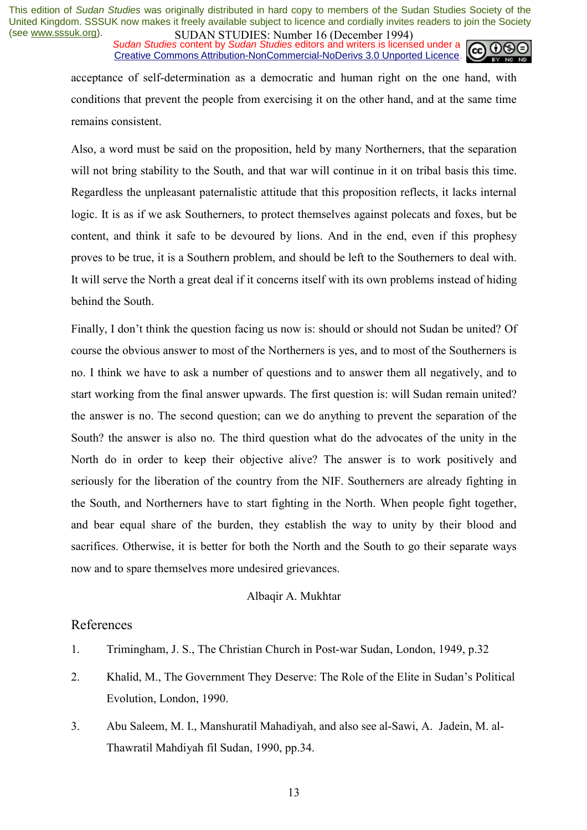*Sudan Studies* content by *Sudan Studies* editors and writers is licensed under a Creative Commons Attribution-NonCommercial-NoDerivs 3.0 Unported Licence.



acceptance of self-determination as a democratic and human right on the one hand, with conditions that prevent the people from exercising it on the other hand, and at the same time remains consistent.

Also, a word must be said on the proposition, held by many Northerners, that the separation will not bring stability to the South, and that war will continue in it on tribal basis this time. Regardless the unpleasant paternalistic attitude that this proposition reflects, it lacks internal logic. It is as if we ask Southerners, to protect themselves against polecats and foxes, but be content, and think it safe to be devoured by lions. And in the end, even if this prophesy proves to be true, it is a Southern problem, and should be left to the Southerners to deal with. It will serve the North a great deal if it concerns itself with its own problems instead of hiding behind the South.

Finally, I don't think the question facing us now is: should or should not Sudan be united? Of course the obvious answer to most of the Northerners is yes, and to most of the Southerners is no. I think we have to ask a number of questions and to answer them all negatively, and to start working from the final answer upwards. The first question is: will Sudan remain united? the answer is no. The second question; can we do anything to prevent the separation of the South? the answer is also no. The third question what do the advocates of the unity in the North do in order to keep their objective alive? The answer is to work positively and seriously for the liberation of the country from the NIF. Southerners are already fighting in the South, and Northerners have to start fighting in the North. When people fight together, and bear equal share of the burden, they establish the way to unity by their blood and sacrifices. Otherwise, it is better for both the North and the South to go their separate ways now and to spare themselves more undesired grievances.

#### Albaqir A. Mukhtar

### References

- 1. Trimingham, J. S., The Christian Church in Post-war Sudan, London, 1949, p.32
- 2. Khalid, M., The Government They Deserve: The Role of the Elite in Sudan's Political Evolution, London, 1990.
- 3. Abu Saleem, M. I., Manshuratil Mahadiyah, and also see al-Sawi, A. Jadein, M. al-Thawratil Mahdiyah fil Sudan, 1990, pp.34.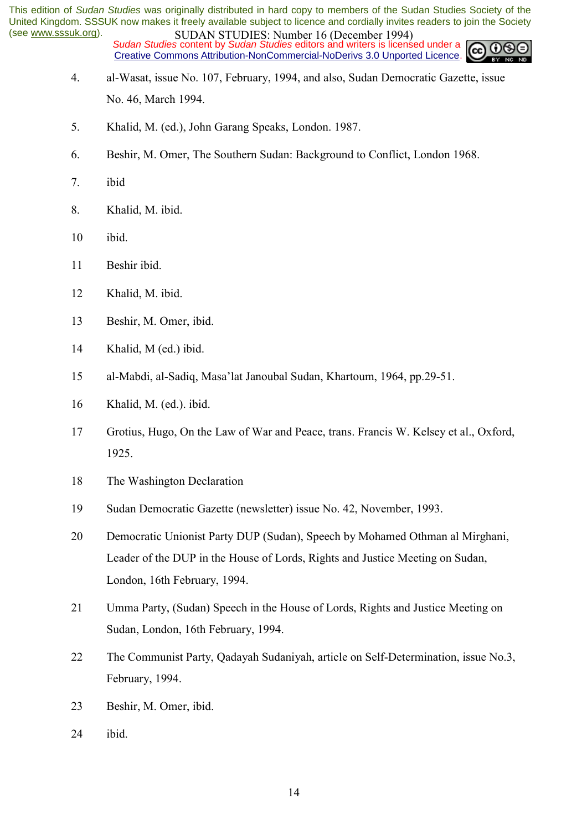*Sudan Studies* content by *Sudan Studies* editors and writers is licensed under a Creative Commons Attribution-NonCommercial-NoDerivs 3.0 Unported Licence.

- 4. al-Wasat, issue No. 107, February, 1994, and also, Sudan Democratic Gazette, issue No. 46, March 1994.
- 5. Khalid, M. (ed.), John Garang Speaks, London. 1987.
- 6. Beshir, M. Omer, The Southern Sudan: Background to Conflict, London 1968.
- 7. ibid
- 8. Khalid, M. ibid.
- 10 ibid.
- 11 Beshir ibid.
- 12 Khalid, M. ibid.
- 13 Beshir, M. Omer, ibid.
- 14 Khalid, M (ed.) ibid.
- 15 al-Mabdi, al-Sadiq, Masaílat Janoubal Sudan, Khartoum, 1964, pp.29-51.
- 16 Khalid, M. (ed.). ibid.
- 17 Grotius, Hugo, On the Law of War and Peace, trans. Francis W. Kelsey et al., Oxford, 1925.
- 18 The Washington Declaration
- 19 Sudan Democratic Gazette (newsletter) issue No. 42, November, 1993.
- 20 Democratic Unionist Party DUP (Sudan), Speech by Mohamed Othman al Mirghani, Leader of the DUP in the House of Lords, Rights and Justice Meeting on Sudan, London, 16th February, 1994.
- 21 Umma Party, (Sudan) Speech in the House of Lords, Rights and Justice Meeting on Sudan, London, 16th February, 1994.
- 22 The Communist Party, Qadayah Sudaniyah, article on Self-Determination, issue No.3, February, 1994.
- 23 Beshir, M. Omer, ibid.
- 24 ibid.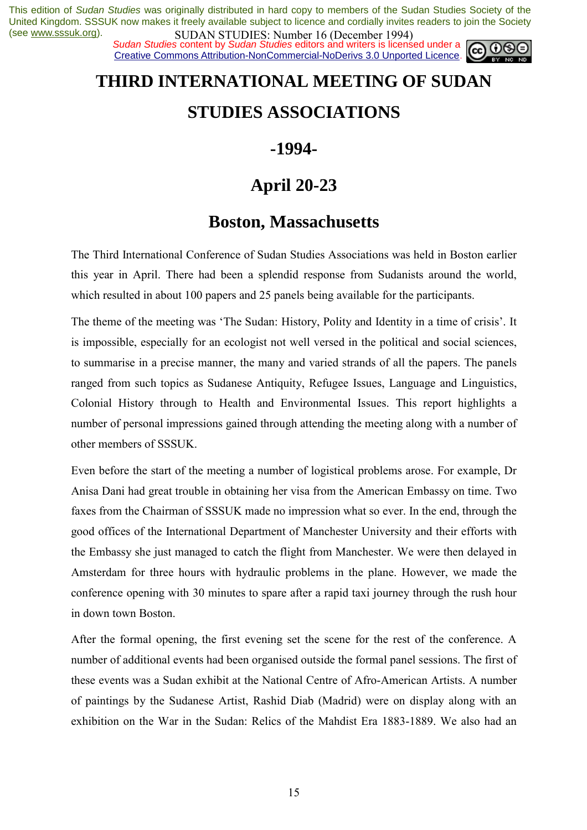*Sudan Studies* content by *Sudan Studies* editors and writers is licensed under a Creative Commons Attribution-NonCommercial-NoDerivs 3.0 Unported Licence.



## **THIRD INTERNATIONAL MEETING OF SUDAN**

### **STUDIES ASSOCIATIONS**

### **-1994-**

### **April 20-23**

### **Boston, Massachusetts**

The Third International Conference of Sudan Studies Associations was held in Boston earlier this year in April. There had been a splendid response from Sudanists around the world, which resulted in about 100 papers and 25 panels being available for the participants.

The theme of the meeting was 'The Sudan: History, Polity and Identity in a time of crisis'. It is impossible, especially for an ecologist not well versed in the political and social sciences, to summarise in a precise manner, the many and varied strands of all the papers. The panels ranged from such topics as Sudanese Antiquity, Refugee Issues, Language and Linguistics, Colonial History through to Health and Environmental Issues. This report highlights a number of personal impressions gained through attending the meeting along with a number of other members of SSSUK.

Even before the start of the meeting a number of logistical problems arose. For example, Dr Anisa Dani had great trouble in obtaining her visa from the American Embassy on time. Two faxes from the Chairman of SSSUK made no impression what so ever. In the end, through the good offices of the International Department of Manchester University and their efforts with the Embassy she just managed to catch the flight from Manchester. We were then delayed in Amsterdam for three hours with hydraulic problems in the plane. However, we made the conference opening with 30 minutes to spare after a rapid taxi journey through the rush hour in down town Boston.

After the formal opening, the first evening set the scene for the rest of the conference. A number of additional events had been organised outside the formal panel sessions. The first of these events was a Sudan exhibit at the National Centre of Afro-American Artists. A number of paintings by the Sudanese Artist, Rashid Diab (Madrid) were on display along with an exhibition on the War in the Sudan: Relics of the Mahdist Era 1883-1889. We also had an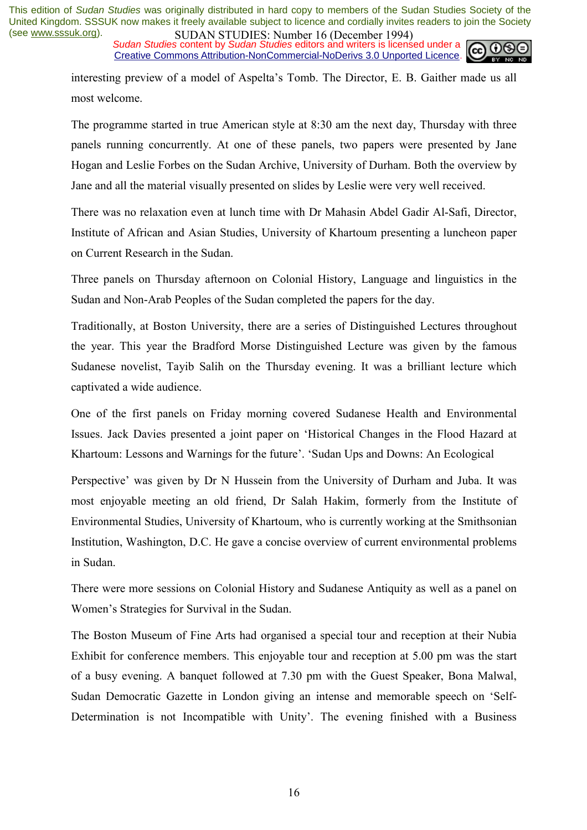*Sudan Studies* content by *Sudan Studies* editors and writers is licensed under a Creative Commons Attribution-NonCommercial-NoDerivs 3.0 Unported Licence.



interesting preview of a model of Aspelta's Tomb. The Director, E. B. Gaither made us all most welcome.

The programme started in true American style at 8:30 am the next day, Thursday with three panels running concurrently. At one of these panels, two papers were presented by Jane Hogan and Leslie Forbes on the Sudan Archive, University of Durham. Both the overview by Jane and all the material visually presented on slides by Leslie were very well received.

There was no relaxation even at lunch time with Dr Mahasin Abdel Gadir Al-Safi, Director, Institute of African and Asian Studies, University of Khartoum presenting a luncheon paper on Current Research in the Sudan.

Three panels on Thursday afternoon on Colonial History, Language and linguistics in the Sudan and Non-Arab Peoples of the Sudan completed the papers for the day.

Traditionally, at Boston University, there are a series of Distinguished Lectures throughout the year. This year the Bradford Morse Distinguished Lecture was given by the famous Sudanese novelist, Tayib Salih on the Thursday evening. It was a brilliant lecture which captivated a wide audience.

One of the first panels on Friday morning covered Sudanese Health and Environmental Issues. Jack Davies presented a joint paper on ëHistorical Changes in the Flood Hazard at Khartoum: Lessons and Warnings for the future'. 'Sudan Ups and Downs: An Ecological

Perspective' was given by Dr N Hussein from the University of Durham and Juba. It was most enjoyable meeting an old friend, Dr Salah Hakim, formerly from the Institute of Environmental Studies, University of Khartoum, who is currently working at the Smithsonian Institution, Washington, D.C. He gave a concise overview of current environmental problems in Sudan.

There were more sessions on Colonial History and Sudanese Antiquity as well as a panel on Women's Strategies for Survival in the Sudan.

The Boston Museum of Fine Arts had organised a special tour and reception at their Nubia Exhibit for conference members. This enjoyable tour and reception at 5.00 pm was the start of a busy evening. A banquet followed at 7.30 pm with the Guest Speaker, Bona Malwal, Sudan Democratic Gazette in London giving an intense and memorable speech on 'Self-Determination is not Incompatible with Unity'. The evening finished with a Business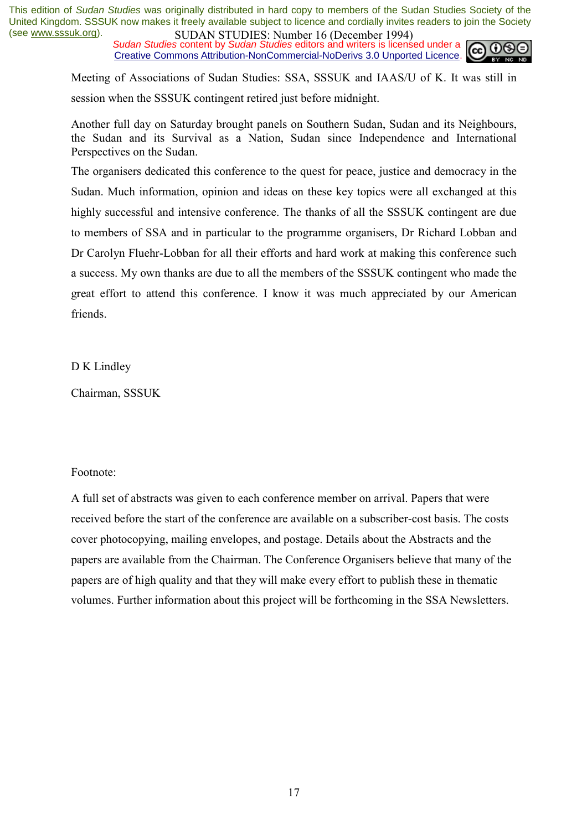*Sudan Studies* content by *Sudan Studies* editors and writers is licensed under a Creative Commons Attribution-NonCommercial-NoDerivs 3.0 Unported Licence.



Meeting of Associations of Sudan Studies: SSA, SSSUK and IAAS/U of K. It was still in session when the SSSUK contingent retired just before midnight.

Another full day on Saturday brought panels on Southern Sudan, Sudan and its Neighbours, the Sudan and its Survival as a Nation, Sudan since Independence and International Perspectives on the Sudan.

The organisers dedicated this conference to the quest for peace, justice and democracy in the Sudan. Much information, opinion and ideas on these key topics were all exchanged at this highly successful and intensive conference. The thanks of all the SSSUK contingent are due to members of SSA and in particular to the programme organisers, Dr Richard Lobban and Dr Carolyn Fluehr-Lobban for all their efforts and hard work at making this conference such a success. My own thanks are due to all the members of the SSSUK contingent who made the great effort to attend this conference. I know it was much appreciated by our American friends.

D K Lindley

Chairman, SSSUK

#### Footnote:

A full set of abstracts was given to each conference member on arrival. Papers that were received before the start of the conference are available on a subscriber-cost basis. The costs cover photocopying, mailing envelopes, and postage. Details about the Abstracts and the papers are available from the Chairman. The Conference Organisers believe that many of the papers are of high quality and that they will make every effort to publish these in thematic volumes. Further information about this project will be forthcoming in the SSA Newsletters.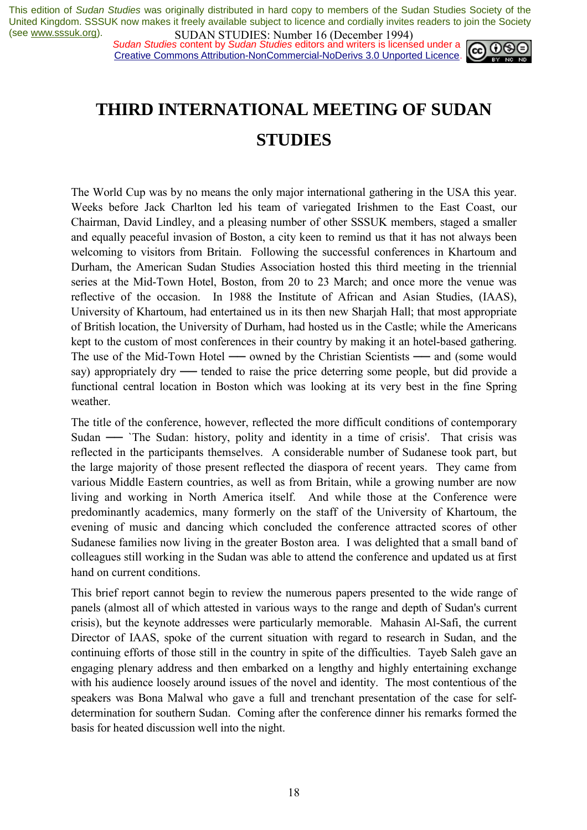**SUDAN STUDIES:** Number 10 (December 1777)<br>*Sudan Studies* content by *Sudan Studies* editors and writers is licensed under a  $\omega$ Creative Commons Attribution-NonCommercial-NoDerivs 3.0 Unported Licence.



## **THIRD INTERNATIONAL MEETING OF SUDAN STUDIES**

The World Cup was by no means the only major international gathering in the USA this year. Weeks before Jack Charlton led his team of variegated Irishmen to the East Coast, our Chairman, David Lindley, and a pleasing number of other SSSUK members, staged a smaller and equally peaceful invasion of Boston, a city keen to remind us that it has not always been welcoming to visitors from Britain. Following the successful conferences in Khartoum and Durham, the American Sudan Studies Association hosted this third meeting in the triennial series at the Mid-Town Hotel, Boston, from 20 to 23 March; and once more the venue was reflective of the occasion. In 1988 the Institute of African and Asian Studies, (IAAS), University of Khartoum, had entertained us in its then new Sharjah Hall; that most appropriate of British location, the University of Durham, had hosted us in the Castle; while the Americans kept to the custom of most conferences in their country by making it an hotel-based gathering. The use of the Mid-Town Hotel — owned by the Christian Scientists — and (some would say) appropriately dry — tended to raise the price deterring some people, but did provide a functional central location in Boston which was looking at its very best in the fine Spring weather.

The title of the conference, however, reflected the more difficult conditions of contemporary Sudan — `The Sudan: history, polity and identity in a time of crisis'. That crisis was reflected in the participants themselves. A considerable number of Sudanese took part, but the large majority of those present reflected the diaspora of recent years. They came from various Middle Eastern countries, as well as from Britain, while a growing number are now living and working in North America itself. And while those at the Conference were predominantly academics, many formerly on the staff of the University of Khartoum, the evening of music and dancing which concluded the conference attracted scores of other Sudanese families now living in the greater Boston area. I was delighted that a small band of colleagues still working in the Sudan was able to attend the conference and updated us at first hand on current conditions.

This brief report cannot begin to review the numerous papers presented to the wide range of panels (almost all of which attested in various ways to the range and depth of Sudan's current crisis), but the keynote addresses were particularly memorable. Mahasin Al-Safi, the current Director of IAAS, spoke of the current situation with regard to research in Sudan, and the continuing efforts of those still in the country in spite of the difficulties. Tayeb Saleh gave an engaging plenary address and then embarked on a lengthy and highly entertaining exchange with his audience loosely around issues of the novel and identity. The most contentious of the speakers was Bona Malwal who gave a full and trenchant presentation of the case for selfdetermination for southern Sudan. Coming after the conference dinner his remarks formed the basis for heated discussion well into the night.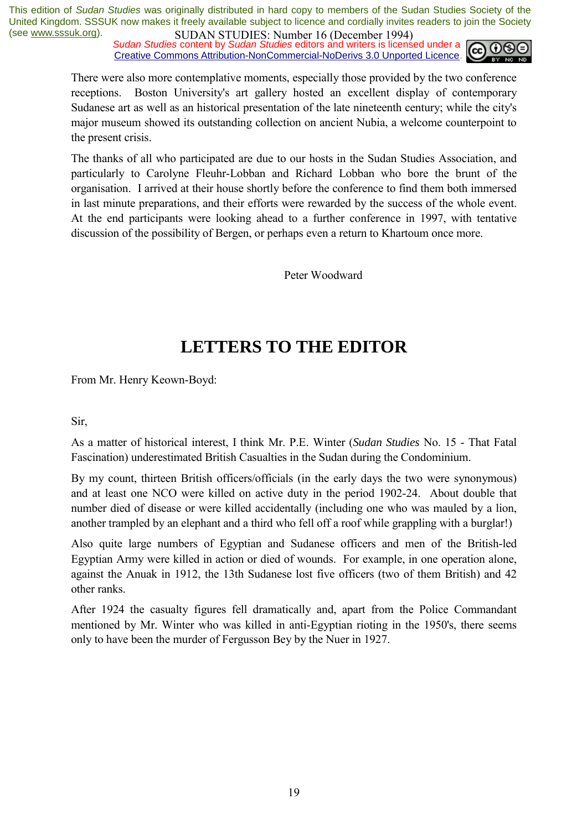**SUDAN STUDIES:** Number to (December 1777)<br>Sudan Studies content by Sudan Studies editors and writers is licensed under a Creative Commons Attribution-NonCommercial-NoDerivs 3.0 Unported Licence.



There were also more contemplative moments, especially those provided by the two conference receptions. Boston University's art gallery hosted an excellent display of contemporary Sudanese art as well as an historical presentation of the late nineteenth century; while the city's major museum showed its outstanding collection on ancient Nubia, a welcome counterpoint to the present crisis.

The thanks of all who participated are due to our hosts in the Sudan Studies Association, and particularly to Carolyne Fleuhr-Lobban and Richard Lobban who bore the brunt of the organisation. I arrived at their house shortly before the conference to find them both immersed in last minute preparations, and their efforts were rewarded by the success of the whole event. At the end participants were looking ahead to a further conference in 1997, with tentative discussion of the possibility of Bergen, or perhaps even a return to Khartoum once more.

Peter Woodward

### **LETTERS TO THE EDITOR**

From Mr. Henry Keown-Boyd:

Sir,

As a matter of historical interest, I think Mr. P.E. Winter (*Sudan Studies* No. 15 - That Fatal Fascination) underestimated British Casualties in the Sudan during the Condominium.

By my count, thirteen British officers/officials (in the early days the two were synonymous) and at least one NCO were killed on active duty in the period 1902-24. About double that number died of disease or were killed accidentally (including one who was mauled by a lion, another trampled by an elephant and a third who fell off a roof while grappling with a burglar!)

Also quite large numbers of Egyptian and Sudanese officers and men of the British-led Egyptian Army were killed in action or died of wounds. For example, in one operation alone, against the Anuak in 1912, the 13th Sudanese lost five officers (two of them British) and 42 other ranks.

After 1924 the casualty figures fell dramatically and, apart from the Police Commandant mentioned by Mr. Winter who was killed in anti-Egyptian rioting in the 1950's, there seems only to have been the murder of Fergusson Bey by the Nuer in 1927.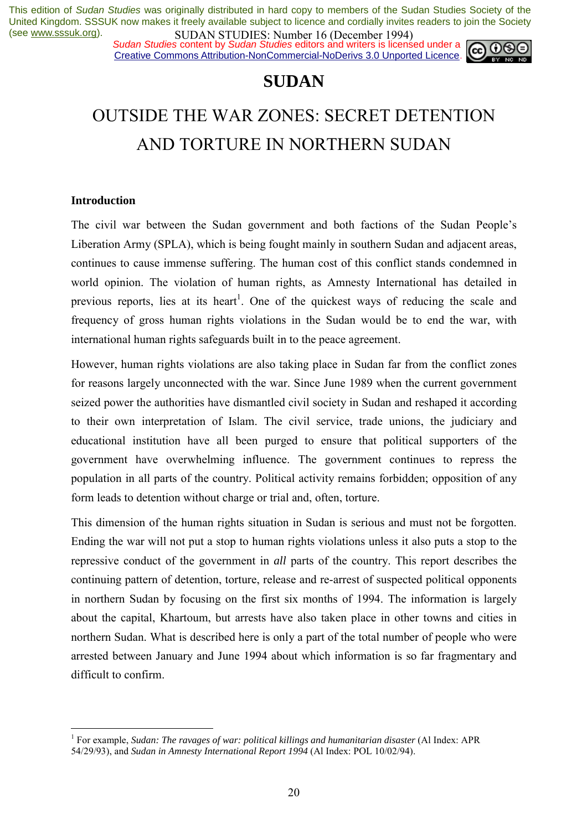*Sudan Studies* content by *Sudan Studies* editors and writers is licensed under a Creative Commons Attribution-NonCommercial-NoDerivs 3.0 Unported Licence.



### **SUDAN**

## OUTSIDE THE WAR ZONES: SECRET DETENTION AND TORTURE IN NORTHERN SUDAN

#### **Introduction**

 $\overline{a}$ 

The civil war between the Sudan government and both factions of the Sudan People's Liberation Army (SPLA), which is being fought mainly in southern Sudan and adjacent areas, continues to cause immense suffering. The human cost of this conflict stands condemned in world opinion. The violation of human rights, as Amnesty International has detailed in previous reports, lies at its heart<sup>1</sup>. One of the quickest ways of reducing the scale and frequency of gross human rights violations in the Sudan would be to end the war, with international human rights safeguards built in to the peace agreement.

However, human rights violations are also taking place in Sudan far from the conflict zones for reasons largely unconnected with the war. Since June 1989 when the current government seized power the authorities have dismantled civil society in Sudan and reshaped it according to their own interpretation of Islam. The civil service, trade unions, the judiciary and educational institution have all been purged to ensure that political supporters of the government have overwhelming influence. The government continues to repress the population in all parts of the country. Political activity remains forbidden; opposition of any form leads to detention without charge or trial and, often, torture.

This dimension of the human rights situation in Sudan is serious and must not be forgotten. Ending the war will not put a stop to human rights violations unless it also puts a stop to the repressive conduct of the government in *all* parts of the country. This report describes the continuing pattern of detention, torture, release and re-arrest of suspected political opponents in northern Sudan by focusing on the first six months of 1994. The information is largely about the capital, Khartoum, but arrests have also taken place in other towns and cities in northern Sudan. What is described here is only a part of the total number of people who were arrested between January and June 1994 about which information is so far fragmentary and difficult to confirm.

<sup>1</sup> For example, *Sudan: The ravages of war: political killings and humanitarian disaster* (Al Index: APR 54/29/93), and *Sudan in Amnesty International Report 1994* (Al Index: POL 10/02/94).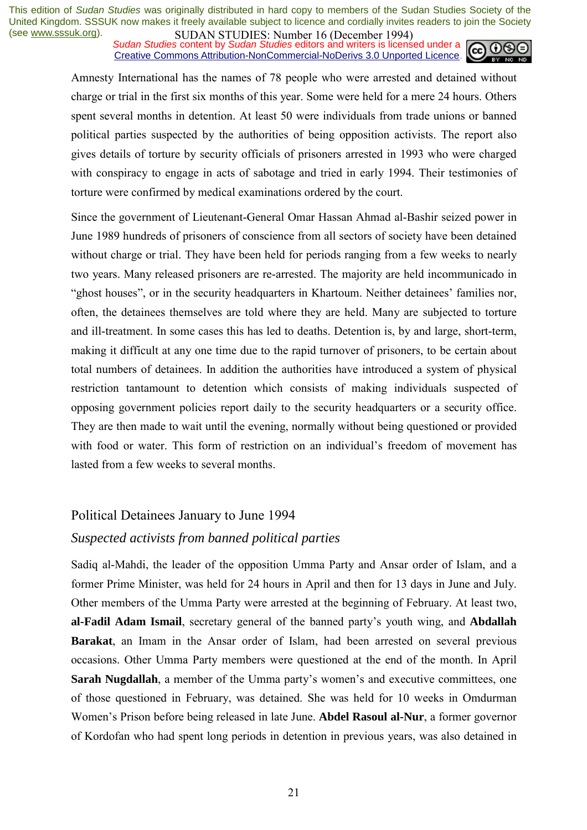*Sudan Studies* content by *Sudan Studies* editors and writers is licensed under a Creative Commons Attribution-NonCommercial-NoDerivs 3.0 Unported Licence.



Amnesty International has the names of 78 people who were arrested and detained without charge or trial in the first six months of this year. Some were held for a mere 24 hours. Others spent several months in detention. At least 50 were individuals from trade unions or banned political parties suspected by the authorities of being opposition activists. The report also gives details of torture by security officials of prisoners arrested in 1993 who were charged with conspiracy to engage in acts of sabotage and tried in early 1994. Their testimonies of torture were confirmed by medical examinations ordered by the court.

Since the government of Lieutenant-General Omar Hassan Ahmad al-Bashir seized power in June 1989 hundreds of prisoners of conscience from all sectors of society have been detained without charge or trial. They have been held for periods ranging from a few weeks to nearly two years. Many released prisoners are re-arrested. The majority are held incommunicado in "ghost houses", or in the security headquarters in Khartoum. Neither detainees' families nor, often, the detainees themselves are told where they are held. Many are subjected to torture and ill-treatment. In some cases this has led to deaths. Detention is, by and large, short-term, making it difficult at any one time due to the rapid turnover of prisoners, to be certain about total numbers of detainees. In addition the authorities have introduced a system of physical restriction tantamount to detention which consists of making individuals suspected of opposing government policies report daily to the security headquarters or a security office. They are then made to wait until the evening, normally without being questioned or provided with food or water. This form of restriction on an individual's freedom of movement has lasted from a few weeks to several months.

### Political Detainees January to June 1994 *Suspected activists from banned political parties*

Sadiq al-Mahdi, the leader of the opposition Umma Party and Ansar order of Islam, and a former Prime Minister, was held for 24 hours in April and then for 13 days in June and July. Other members of the Umma Party were arrested at the beginning of February. At least two, al-Fadil Adam Ismail, secretary general of the banned party's youth wing, and Abdallah **Barakat**, an Imam in the Ansar order of Islam, had been arrested on several previous occasions. Other Umma Party members were questioned at the end of the month. In April **Sarah Nugdallah**, a member of the Umma party's women's and executive committees, one of those questioned in February, was detained. She was held for 10 weeks in Omdurman Women's Prison before being released in late June. **Abdel Rasoul al-Nur**, a former governor of Kordofan who had spent long periods in detention in previous years, was also detained in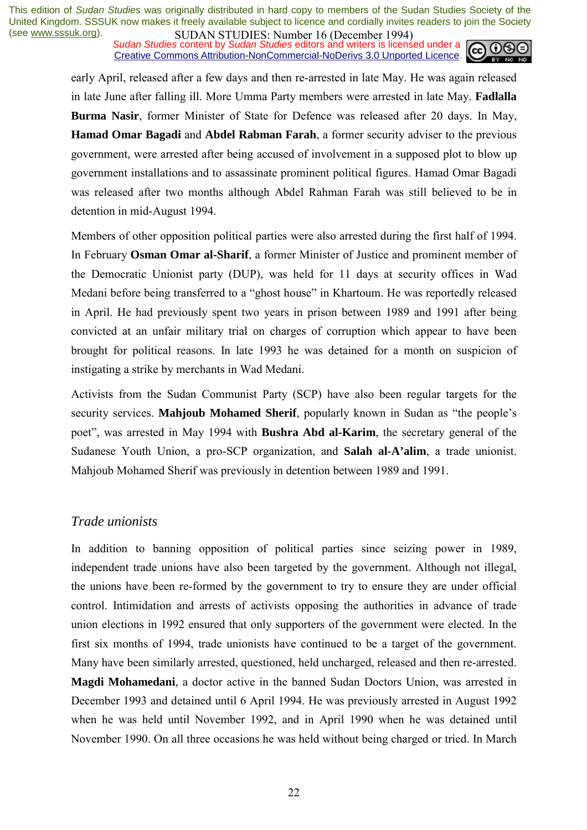**SUDAN STUDIES:** Number to (December 1777)<br>Sudan Studies content by Sudan Studies editors and writers is licensed under a Creative Commons Attribution-NonCommercial-NoDerivs 3.0 Unported Licence.



early April, released after a few days and then re-arrested in late May. He was again released in late June after falling ill. More Umma Party members were arrested in late May. **Fadlalla Burma Nasir**, former Minister of State for Defence was released after 20 days. In May, **Hamad Omar Bagadi** and **Abdel Rabman Farah**, a former security adviser to the previous government, were arrested after being accused of involvement in a supposed plot to blow up government installations and to assassinate prominent political figures. Hamad Omar Bagadi was released after two months although Abdel Rahman Farah was still believed to be in detention in mid-August 1994.

Members of other opposition political parties were also arrested during the first half of 1994. In February **Osman Omar al-Sharif**, a former Minister of Justice and prominent member of the Democratic Unionist party (DUP), was held for 11 days at security offices in Wad Medani before being transferred to a "ghost house" in Khartoum. He was reportedly released in April. He had previously spent two years in prison between 1989 and 1991 after being convicted at an unfair military trial on charges of corruption which appear to have been brought for political reasons. In late 1993 he was detained for a month on suspicion of instigating a strike by merchants in Wad Medani.

Activists from the Sudan Communist Party (SCP) have also been regular targets for the security services. **Mahjoub Mohamed Sherif**, popularly known in Sudan as "the people's poet", was arrested in May 1994 with **Bushra Abd al-Karim**, the secretary general of the Sudanese Youth Union, a pro-SCP organization, and **Salah al-A'alim**, a trade unionist. Mahjoub Mohamed Sherif was previously in detention between 1989 and 1991.

#### *Trade unionists*

In addition to banning opposition of political parties since seizing power in 1989, independent trade unions have also been targeted by the government. Although not illegal, the unions have been re-formed by the government to try to ensure they are under official control. Intimidation and arrests of activists opposing the authorities in advance of trade union elections in 1992 ensured that only supporters of the government were elected. In the first six months of 1994, trade unionists have continued to be a target of the government. Many have been similarly arrested, questioned, held uncharged, released and then re-arrested. **Magdi Mohamedani**, a doctor active in the banned Sudan Doctors Union, was arrested in December 1993 and detained until 6 April 1994. He was previously arrested in August 1992 when he was held until November 1992, and in April 1990 when he was detained until November 1990. On all three occasions he was held without being charged or tried. In March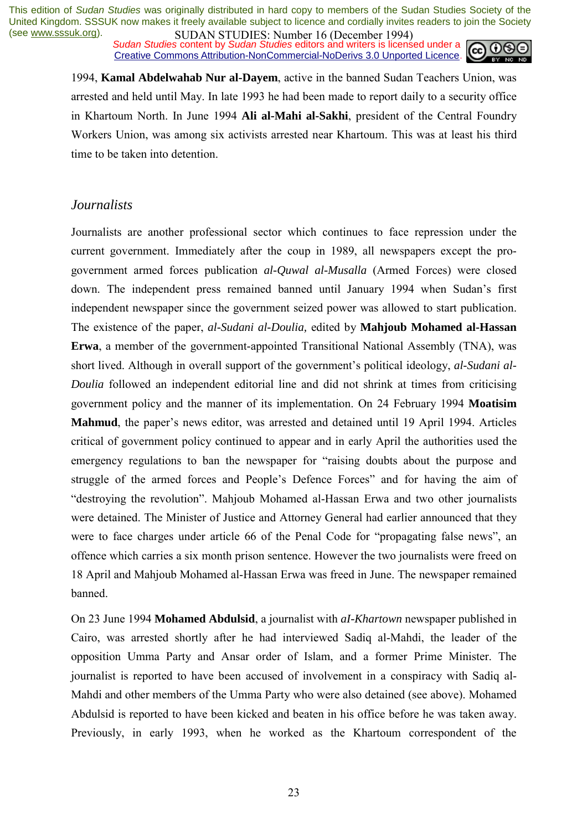*Sudan Studies* content by *Sudan Studies* editors and writers is licensed under a Creative Commons Attribution-NonCommercial-NoDerivs 3.0 Unported Licence.



1994, **Kamal Abdelwahab Nur al-Dayem**, active in the banned Sudan Teachers Union, was arrested and held until May. In late 1993 he had been made to report daily to a security office in Khartoum North. In June 1994 **Ali al-Mahi al-Sakhi**, president of the Central Foundry Workers Union, was among six activists arrested near Khartoum. This was at least his third time to be taken into detention.

### *Journalists*

Journalists are another professional sector which continues to face repression under the current government. Immediately after the coup in 1989, all newspapers except the progovernment armed forces publication *al-Quwal al-Musalla* (Armed Forces) were closed down. The independent press remained banned until January 1994 when Sudan's first independent newspaper since the government seized power was allowed to start publication. The existence of the paper, *al-Sudani al-Doulia,* edited by **Mahjoub Mohamed al-Hassan Erwa**, a member of the government-appointed Transitional National Assembly (TNA), was short lived. Although in overall support of the government's political ideology, *al-Sudani al-Doulia* followed an independent editorial line and did not shrink at times from criticising government policy and the manner of its implementation. On 24 February 1994 **Moatisim**  Mahmud, the paper's news editor, was arrested and detained until 19 April 1994. Articles critical of government policy continued to appear and in early April the authorities used the emergency regulations to ban the newspaper for "raising doubts about the purpose and struggle of the armed forces and People's Defence Forces" and for having the aim of ìdestroying the revolutionî. Mahjoub Mohamed al-Hassan Erwa and two other journalists were detained. The Minister of Justice and Attorney General had earlier announced that they were to face charges under article 66 of the Penal Code for "propagating false news", an offence which carries a six month prison sentence. However the two journalists were freed on 18 April and Mahjoub Mohamed al-Hassan Erwa was freed in June. The newspaper remained banned.

On 23 June 1994 **Mohamed Abdulsid**, a journalist with *aI-Khartown* newspaper published in Cairo, was arrested shortly after he had interviewed Sadiq al-Mahdi, the leader of the opposition Umma Party and Ansar order of Islam, and a former Prime Minister. The journalist is reported to have been accused of involvement in a conspiracy with Sadiq al-Mahdi and other members of the Umma Party who were also detained (see above). Mohamed Abdulsid is reported to have been kicked and beaten in his office before he was taken away. Previously, in early 1993, when he worked as the Khartoum correspondent of the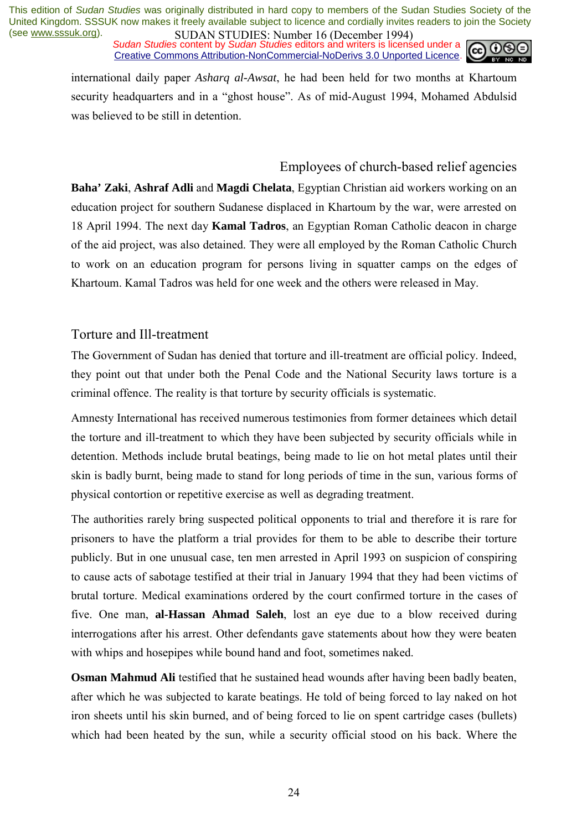*Sudan Studies* content by *Sudan Studies* editors and writers is licensed under a Creative Commons Attribution-NonCommercial-NoDerivs 3.0 Unported Licence.



international daily paper *Asharq al-Awsat*, he had been held for two months at Khartoum security headquarters and in a "ghost house". As of mid-August 1994, Mohamed Abdulsid was believed to be still in detention.

### Employees of church-based relief agencies

**Baha' Zaki**, **Ashraf Adli** and **Magdi Chelata**, Egyptian Christian aid workers working on an education project for southern Sudanese displaced in Khartoum by the war, were arrested on 18 April 1994. The next day **Kamal Tadros**, an Egyptian Roman Catholic deacon in charge of the aid project, was also detained. They were all employed by the Roman Catholic Church to work on an education program for persons living in squatter camps on the edges of Khartoum. Kamal Tadros was held for one week and the others were released in May.

#### Torture and Ill-treatment

The Government of Sudan has denied that torture and ill-treatment are official policy. Indeed, they point out that under both the Penal Code and the National Security laws torture is a criminal offence. The reality is that torture by security officials is systematic.

Amnesty International has received numerous testimonies from former detainees which detail the torture and ill-treatment to which they have been subjected by security officials while in detention. Methods include brutal beatings, being made to lie on hot metal plates until their skin is badly burnt, being made to stand for long periods of time in the sun, various forms of physical contortion or repetitive exercise as well as degrading treatment.

The authorities rarely bring suspected political opponents to trial and therefore it is rare for prisoners to have the platform a trial provides for them to be able to describe their torture publicly. But in one unusual case, ten men arrested in April 1993 on suspicion of conspiring to cause acts of sabotage testified at their trial in January 1994 that they had been victims of brutal torture. Medical examinations ordered by the court confirmed torture in the cases of five. One man, **al-Hassan Ahmad Saleh**, lost an eye due to a blow received during interrogations after his arrest. Other defendants gave statements about how they were beaten with whips and hosepipes while bound hand and foot, sometimes naked.

**Osman Mahmud Ali** testified that he sustained head wounds after having been badly beaten, after which he was subjected to karate beatings. He told of being forced to lay naked on hot iron sheets until his skin burned, and of being forced to lie on spent cartridge cases (bullets) which had been heated by the sun, while a security official stood on his back. Where the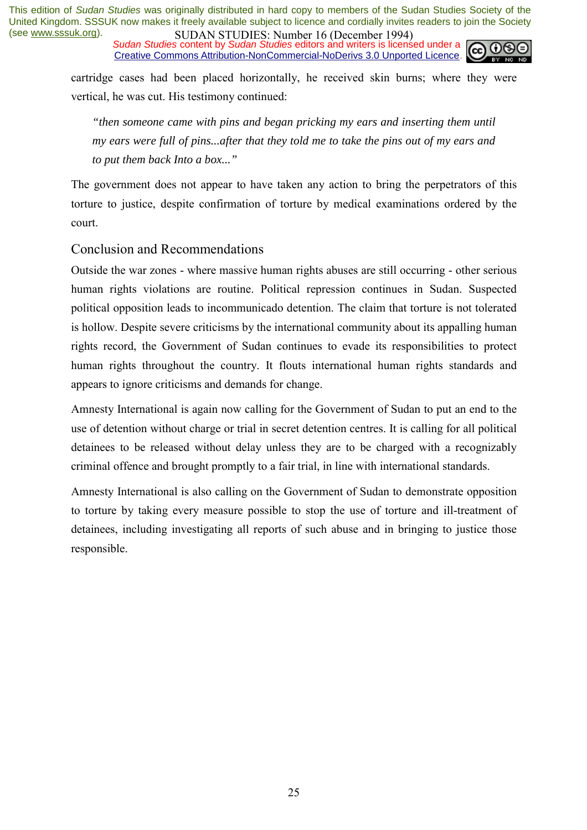*Sudan Studies* content by *Sudan Studies* editors and writers is licensed under a Creative Commons Attribution-NonCommercial-NoDerivs 3.0 Unported Licence.



cartridge cases had been placed horizontally, he received skin burns; where they were vertical, he was cut. His testimony continued:

*"then someone came with pins and began pricking my ears and inserting them until my ears were full of pins...after that they told me to take the pins out of my ears and to put them back Into a box..."* 

The government does not appear to have taken any action to bring the perpetrators of this torture to justice, despite confirmation of torture by medical examinations ordered by the court.

### Conclusion and Recommendations

Outside the war zones - where massive human rights abuses are still occurring - other serious human rights violations are routine. Political repression continues in Sudan. Suspected political opposition leads to incommunicado detention. The claim that torture is not tolerated is hollow. Despite severe criticisms by the international community about its appalling human rights record, the Government of Sudan continues to evade its responsibilities to protect human rights throughout the country. It flouts international human rights standards and appears to ignore criticisms and demands for change.

Amnesty International is again now calling for the Government of Sudan to put an end to the use of detention without charge or trial in secret detention centres. It is calling for all political detainees to be released without delay unless they are to be charged with a recognizably criminal offence and brought promptly to a fair trial, in line with international standards.

Amnesty International is also calling on the Government of Sudan to demonstrate opposition to torture by taking every measure possible to stop the use of torture and ill-treatment of detainees, including investigating all reports of such abuse and in bringing to justice those responsible.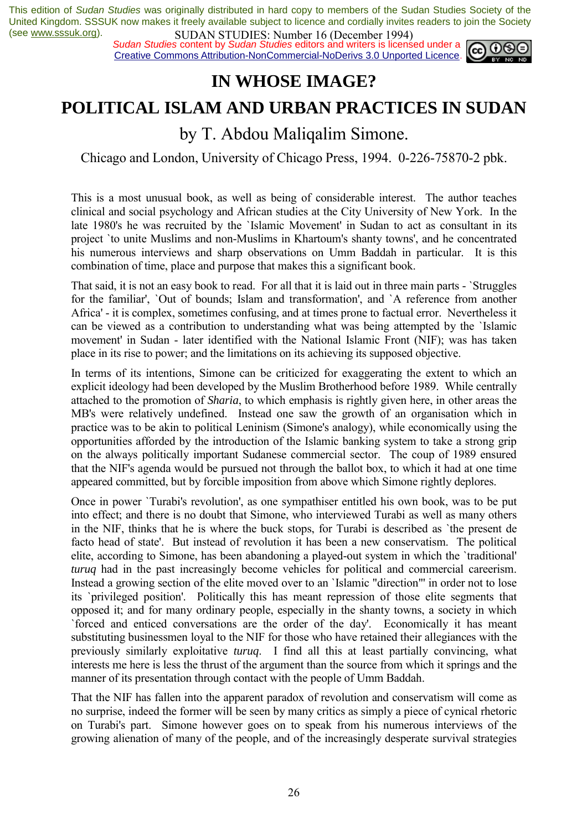**SUDAN STUDIES:** Nutflue To (December 1997)<br>Sudan Studies content by Sudan Studies editors and writers is licensed under a **co.** 00 Creative Commons Attribution-NonCommercial-NoDerivs 3.0 Unported Licence.



### **IN WHOSE IMAGE?**

### **POLITICAL ISLAM AND URBAN PRACTICES IN SUDAN**

### by T. Abdou Maliqalim Simone.

Chicago and London, University of Chicago Press, 1994. 0-226-75870-2 pbk.

This is a most unusual book, as well as being of considerable interest. The author teaches clinical and social psychology and African studies at the City University of New York. In the late 1980's he was recruited by the `Islamic Movement' in Sudan to act as consultant in its project `to unite Muslims and non-Muslims in Khartoum's shanty towns', and he concentrated his numerous interviews and sharp observations on Umm Baddah in particular. It is this combination of time, place and purpose that makes this a significant book.

That said, it is not an easy book to read. For all that it is laid out in three main parts - `Struggles for the familiar', `Out of bounds; Islam and transformation', and `A reference from another Africa' - it is complex, sometimes confusing, and at times prone to factual error. Nevertheless it can be viewed as a contribution to understanding what was being attempted by the `Islamic movement' in Sudan - later identified with the National Islamic Front (NIF); was has taken place in its rise to power; and the limitations on its achieving its supposed objective.

In terms of its intentions, Simone can be criticized for exaggerating the extent to which an explicit ideology had been developed by the Muslim Brotherhood before 1989. While centrally attached to the promotion of *Sharia*, to which emphasis is rightly given here, in other areas the MB's were relatively undefined. Instead one saw the growth of an organisation which in practice was to be akin to political Leninism (Simone's analogy), while economically using the opportunities afforded by the introduction of the Islamic banking system to take a strong grip on the always politically important Sudanese commercial sector. The coup of 1989 ensured that the NIF's agenda would be pursued not through the ballot box, to which it had at one time appeared committed, but by forcible imposition from above which Simone rightly deplores.

Once in power `Turabi's revolution', as one sympathiser entitled his own book, was to be put into effect; and there is no doubt that Simone, who interviewed Turabi as well as many others in the NIF, thinks that he is where the buck stops, for Turabi is described as `the present de facto head of state'. But instead of revolution it has been a new conservatism. The political elite, according to Simone, has been abandoning a played-out system in which the `traditional' *turuq* had in the past increasingly become vehicles for political and commercial careerism. Instead a growing section of the elite moved over to an `Islamic "direction"' in order not to lose its `privileged position'. Politically this has meant repression of those elite segments that opposed it; and for many ordinary people, especially in the shanty towns, a society in which `forced and enticed conversations are the order of the day'. Economically it has meant substituting businessmen loyal to the NIF for those who have retained their allegiances with the previously similarly exploitative *turuq*. I find all this at least partially convincing, what interests me here is less the thrust of the argument than the source from which it springs and the manner of its presentation through contact with the people of Umm Baddah.

That the NIF has fallen into the apparent paradox of revolution and conservatism will come as no surprise, indeed the former will be seen by many critics as simply a piece of cynical rhetoric on Turabi's part. Simone however goes on to speak from his numerous interviews of the growing alienation of many of the people, and of the increasingly desperate survival strategies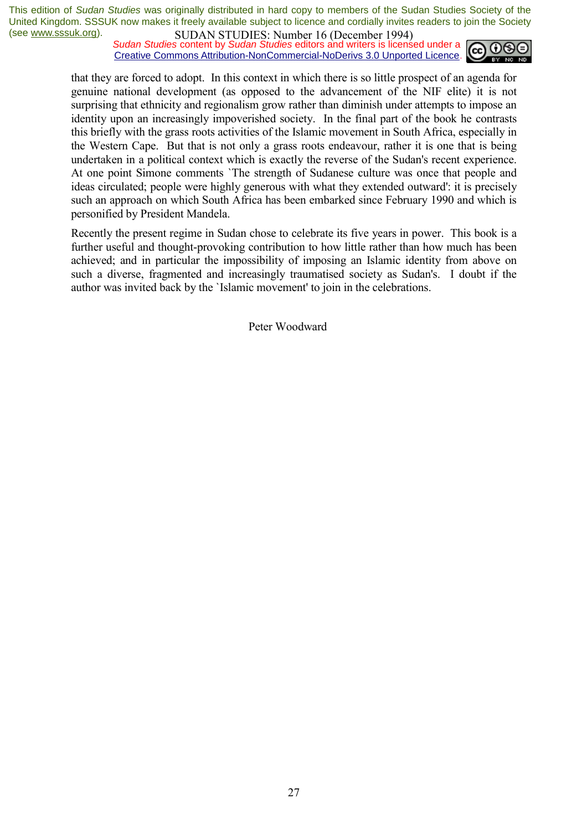**SUDAN STUDIES:** Nutting to (December 1777)<br>*Sudan Studies* content by *Sudan Studies* editors and writers is licensed under a Creative Commons Attribution-NonCommercial-NoDerivs 3.0 Unported Licence.



that they are forced to adopt. In this context in which there is so little prospect of an agenda for genuine national development (as opposed to the advancement of the NIF elite) it is not surprising that ethnicity and regionalism grow rather than diminish under attempts to impose an identity upon an increasingly impoverished society. In the final part of the book he contrasts this briefly with the grass roots activities of the Islamic movement in South Africa, especially in the Western Cape. But that is not only a grass roots endeavour, rather it is one that is being undertaken in a political context which is exactly the reverse of the Sudan's recent experience. At one point Simone comments `The strength of Sudanese culture was once that people and ideas circulated; people were highly generous with what they extended outward': it is precisely such an approach on which South Africa has been embarked since February 1990 and which is personified by President Mandela.

Recently the present regime in Sudan chose to celebrate its five years in power. This book is a further useful and thought-provoking contribution to how little rather than how much has been achieved; and in particular the impossibility of imposing an Islamic identity from above on such a diverse, fragmented and increasingly traumatised society as Sudan's. I doubt if the author was invited back by the `Islamic movement' to join in the celebrations.

Peter Woodward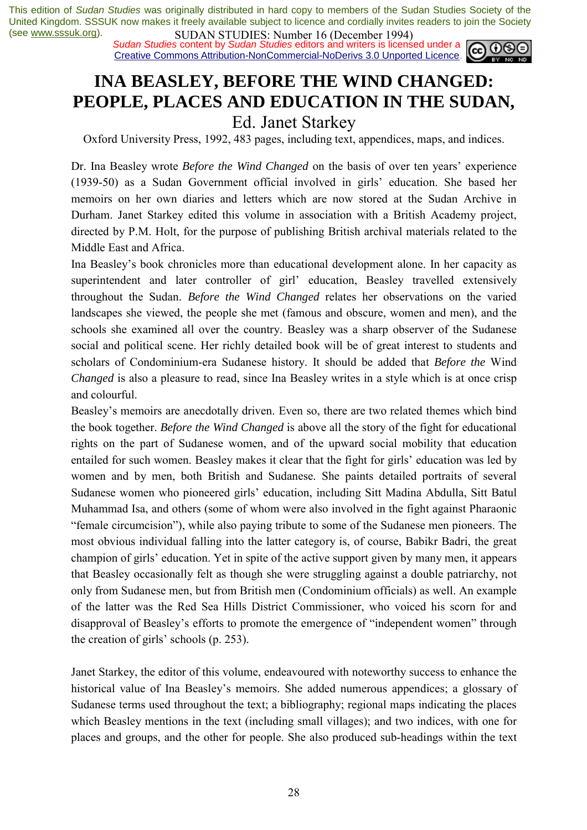**SUDAN STUDIES:** Number to (December 1777)<br>Sudan Studies content by Sudan Studies editors and writers is licensed under a  $\omega$  0 Creative Commons Attribution-NonCommercial-NoDerivs 3.0 Unported Licence.



## **INA BEASLEY, BEFORE THE WIND CHANGED: PEOPLE, PLACES AND EDUCATION IN THE SUDAN,**

Ed. Janet Starkey

Oxford University Press, 1992, 483 pages, including text, appendices, maps, and indices.

Dr. Ina Beasley wrote *Before the Wind Changed* on the basis of over ten years' experience (1939-50) as a Sudan Government official involved in girls' education. She based her memoirs on her own diaries and letters which are now stored at the Sudan Archive in Durham. Janet Starkey edited this volume in association with a British Academy project, directed by P.M. Holt, for the purpose of publishing British archival materials related to the Middle East and Africa.

Ina Beasley's book chronicles more than educational development alone. In her capacity as superintendent and later controller of girl' education, Beasley travelled extensively throughout the Sudan. *Before the Wind Changed* relates her observations on the varied landscapes she viewed, the people she met (famous and obscure, women and men), and the schools she examined all over the country. Beasley was a sharp observer of the Sudanese social and political scene. Her richly detailed book will be of great interest to students and scholars of Condominium-era Sudanese history. It should be added that *Before the* Wind *Changed* is also a pleasure to read, since Ina Beasley writes in a style which is at once crisp and colourful.

Beasley's memoirs are anecdotally driven. Even so, there are two related themes which bind the book together. *Before the Wind Changed* is above all the story of the fight for educational rights on the part of Sudanese women, and of the upward social mobility that education entailed for such women. Beasley makes it clear that the fight for girls' education was led by women and by men, both British and Sudanese. She paints detailed portraits of several Sudanese women who pioneered girls' education, including Sitt Madina Abdulla, Sitt Batul Muhammad Isa, and others (some of whom were also involved in the fight against Pharaonic ìfemale circumcisionî), while also paying tribute to some of the Sudanese men pioneers. The most obvious individual falling into the latter category is, of course, Babikr Badri, the great champion of girls' education. Yet in spite of the active support given by many men, it appears that Beasley occasionally felt as though she were struggling against a double patriarchy, not only from Sudanese men, but from British men (Condominium officials) as well. An example of the latter was the Red Sea Hills District Commissioner, who voiced his scorn for and disapproval of Beasley's efforts to promote the emergence of "independent women" through the creation of girls' schools  $(p. 253)$ .

Janet Starkey, the editor of this volume, endeavoured with noteworthy success to enhance the historical value of Ina Beasley's memoirs. She added numerous appendices; a glossary of Sudanese terms used throughout the text; a bibliography; regional maps indicating the places which Beasley mentions in the text (including small villages); and two indices, with one for places and groups, and the other for people. She also produced sub-headings within the text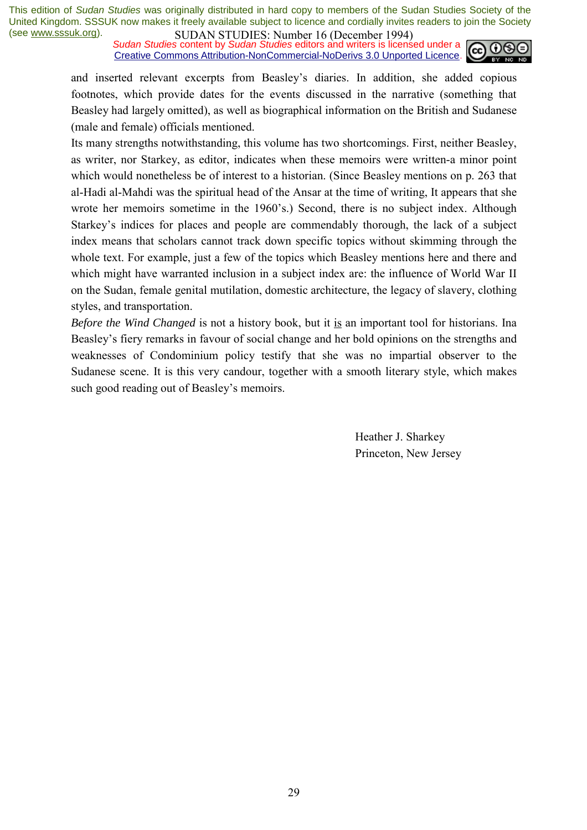**SUDAN STUDIES:** Nutting to (December 1777)<br>*Sudan Studies* content by *Sudan Studies* editors and writers is licensed under a Creative Commons Attribution-NonCommercial-NoDerivs 3.0 Unported Licence.



and inserted relevant excerpts from Beasley's diaries. In addition, she added copious footnotes, which provide dates for the events discussed in the narrative (something that Beasley had largely omitted), as well as biographical information on the British and Sudanese (male and female) officials mentioned.

Its many strengths notwithstanding, this volume has two shortcomings. First, neither Beasley, as writer, nor Starkey, as editor, indicates when these memoirs were written-a minor point which would nonetheless be of interest to a historian. (Since Beasley mentions on p. 263 that al-Hadi al-Mahdi was the spiritual head of the Ansar at the time of writing, It appears that she wrote her memoirs sometime in the 1960's.) Second, there is no subject index. Although Starkey's indices for places and people are commendably thorough, the lack of a subject index means that scholars cannot track down specific topics without skimming through the whole text. For example, just a few of the topics which Beasley mentions here and there and which might have warranted inclusion in a subject index are: the influence of World War II on the Sudan, female genital mutilation, domestic architecture, the legacy of slavery, clothing styles, and transportation.

*Before the Wind Changed* is not a history book, but it is an important tool for historians. Ina Beasley's fiery remarks in favour of social change and her bold opinions on the strengths and weaknesses of Condominium policy testify that she was no impartial observer to the Sudanese scene. It is this very candour, together with a smooth literary style, which makes such good reading out of Beasley's memoirs.

> Heather J. Sharkey Princeton, New Jersey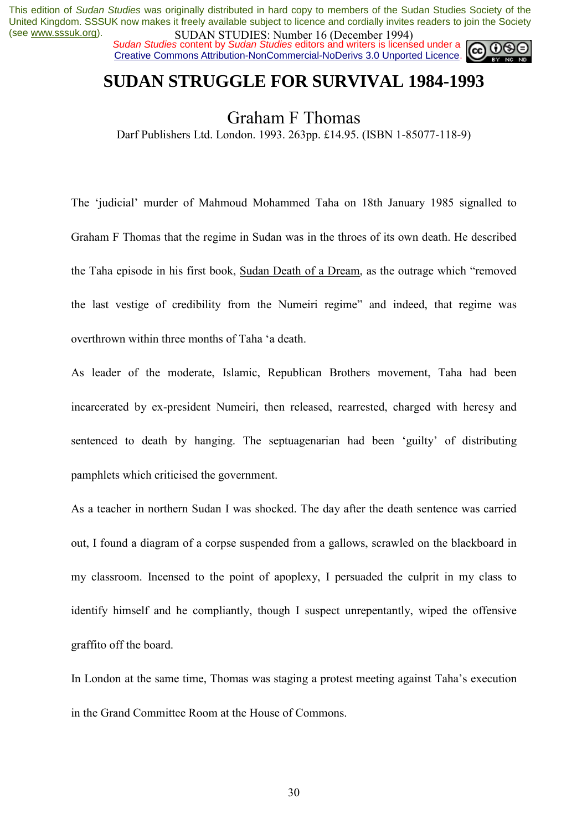*Sudan Studies* content by *Sudan Studies* editors and writers is licensed under a Creative Commons Attribution-NonCommercial-NoDerivs 3.0 Unported Licence.

### **SUDAN STRUGGLE FOR SURVIVAL 1984-1993**

### Graham F Thomas

Darf Publishers Ltd. London. 1993. 263pp. £14.95. (ISBN 1-85077-118-9)

The 'judicial' murder of Mahmoud Mohammed Taha on 18th January 1985 signalled to Graham F Thomas that the regime in Sudan was in the throes of its own death. He described the Taha episode in his first book, Sudan Death of a Dream, as the outrage which "removed the last vestige of credibility from the Numeiri regime" and indeed, that regime was overthrown within three months of Taha ëa death.

As leader of the moderate, Islamic, Republican Brothers movement, Taha had been incarcerated by ex-president Numeiri, then released, rearrested, charged with heresy and sentenced to death by hanging. The septuagenarian had been 'guilty' of distributing pamphlets which criticised the government.

As a teacher in northern Sudan I was shocked. The day after the death sentence was carried out, I found a diagram of a corpse suspended from a gallows, scrawled on the blackboard in my classroom. Incensed to the point of apoplexy, I persuaded the culprit in my class to identify himself and he compliantly, though I suspect unrepentantly, wiped the offensive graffito off the board.

In London at the same time, Thomas was staging a protest meeting against Taha's execution in the Grand Committee Room at the House of Commons.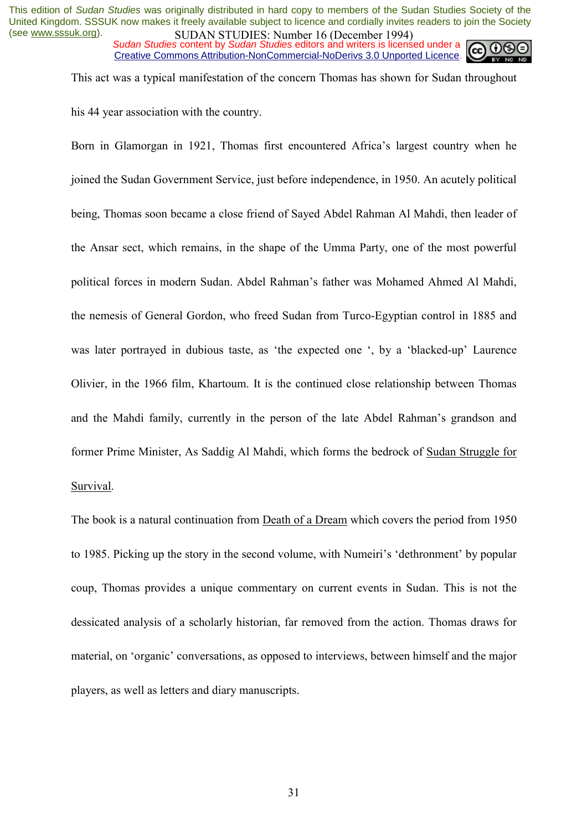*Sudan Studies* content by *Sudan Studies* editors and writers is licensed under a Creative Commons Attribution-NonCommercial-NoDerivs 3.0 Unported Licence.



This act was a typical manifestation of the concern Thomas has shown for Sudan throughout his 44 year association with the country.

Born in Glamorgan in 1921, Thomas first encountered Africa's largest country when he joined the Sudan Government Service, just before independence, in 1950. An acutely political being, Thomas soon became a close friend of Sayed Abdel Rahman Al Mahdi, then leader of the Ansar sect, which remains, in the shape of the Umma Party, one of the most powerful political forces in modern Sudan. Abdel Rahman's father was Mohamed Ahmed Al Mahdi, the nemesis of General Gordon, who freed Sudan from Turco-Egyptian control in 1885 and was later portrayed in dubious taste, as 'the expected one ', by a 'blacked-up' Laurence Olivier, in the 1966 film, Khartoum. It is the continued close relationship between Thomas and the Mahdi family, currently in the person of the late Abdel Rahman's grandson and former Prime Minister, As Saddig Al Mahdi, which forms the bedrock of Sudan Struggle for Survival.

The book is a natural continuation from Death of a Dream which covers the period from 1950 to 1985. Picking up the story in the second volume, with Numeiri's 'dethronment' by popular coup, Thomas provides a unique commentary on current events in Sudan. This is not the dessicated analysis of a scholarly historian, far removed from the action. Thomas draws for material, on 'organic' conversations, as opposed to interviews, between himself and the major players, as well as letters and diary manuscripts.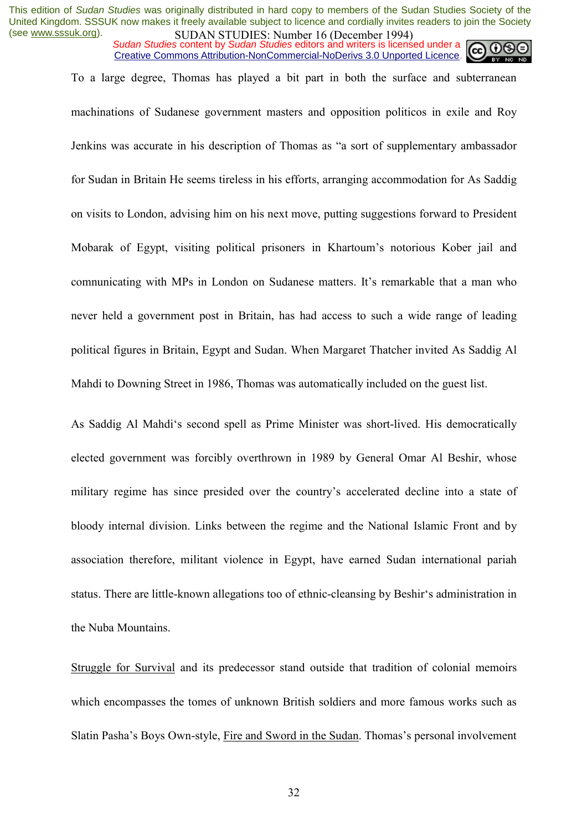*Sudan Studies* content by *Sudan Studies* editors and writers is licensed under a Creative Commons Attribution-NonCommercial-NoDerivs 3.0 Unported Licence.

To a large degree, Thomas has played a bit part in both the surface and subterranean machinations of Sudanese government masters and opposition politicos in exile and Roy Jenkins was accurate in his description of Thomas as "a sort of supplementary ambassador for Sudan in Britain He seems tireless in his efforts, arranging accommodation for As Saddig on visits to London, advising him on his next move, putting suggestions forward to President Mobarak of Egypt, visiting political prisoners in Khartoum's notorious Kober jail and comnunicating with MPs in London on Sudanese matters. It's remarkable that a man who never held a government post in Britain, has had access to such a wide range of leading political figures in Britain, Egypt and Sudan. When Margaret Thatcher invited As Saddig Al Mahdi to Downing Street in 1986, Thomas was automatically included on the guest list.

As Saddig Al Mahdiës second spell as Prime Minister was short-lived. His democratically elected government was forcibly overthrown in 1989 by General Omar Al Beshir, whose military regime has since presided over the country's accelerated decline into a state of bloody internal division. Links between the regime and the National Islamic Front and by association therefore, militant violence in Egypt, have earned Sudan international pariah status. There are little-known allegations too of ethnic-cleansing by Beshir's administration in the Nuba Mountains.

Struggle for Survival and its predecessor stand outside that tradition of colonial memoirs which encompasses the tomes of unknown British soldiers and more famous works such as Slatin Pasha's Boys Own-style, Fire and Sword in the Sudan. Thomas's personal involvement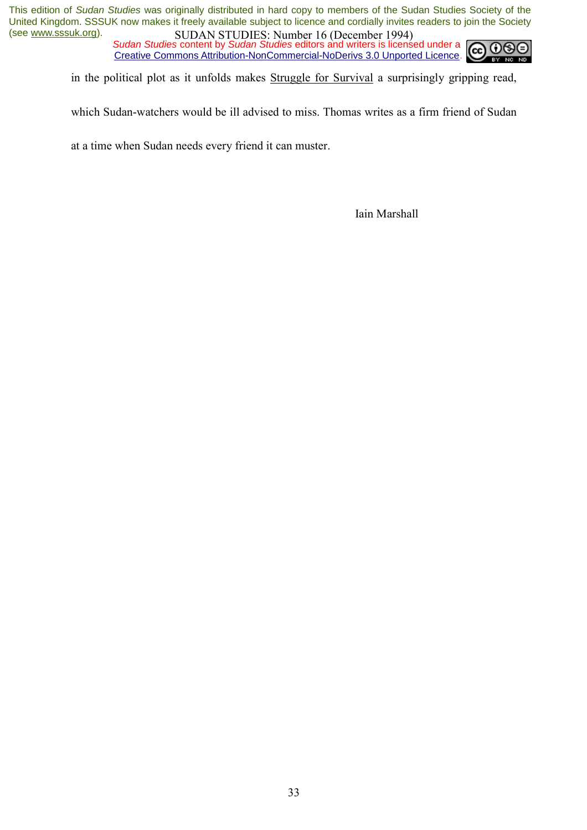*Sudan Studies* content by *Sudan Studies* editors and writers is licensed under a Creative Commons Attribution-NonCommercial-NoDerivs 3.0 Unported Licence.



in the political plot as it unfolds makes Struggle for Survival a surprisingly gripping read,

which Sudan-watchers would be ill advised to miss. Thomas writes as a firm friend of Sudan

at a time when Sudan needs every friend it can muster.

Iain Marshall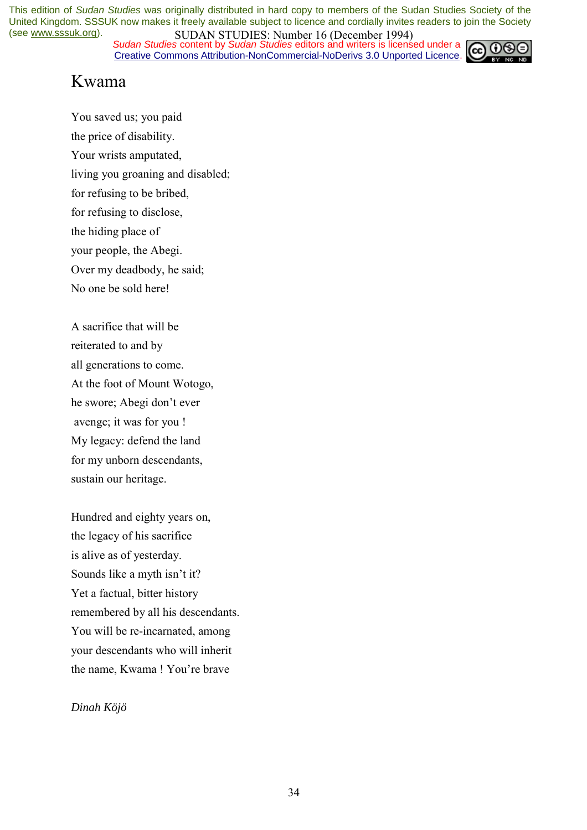*Sudan Studies* content by *Sudan Studies* editors and writers is licensed under a Creative Commons Attribution-NonCommercial-NoDerivs 3.0 Unported Licence.



### Kwama

You saved us; you paid the price of disability. Your wrists amputated, living you groaning and disabled; for refusing to be bribed, for refusing to disclose, the hiding place of your people, the Abegi. Over my deadbody, he said; No one be sold here!

A sacrifice that will be reiterated to and by all generations to come. At the foot of Mount Wotogo, he swore; Abegi don't ever avenge; it was for you ! My legacy: defend the land for my unborn descendants, sustain our heritage.

Hundred and eighty years on, the legacy of his sacrifice is alive as of yesterday. Sounds like a myth isn't it? Yet a factual, bitter history remembered by all his descendants. You will be re-incarnated, among your descendants who will inherit the name, Kwama ! You're brave

*Dinah Köjö*